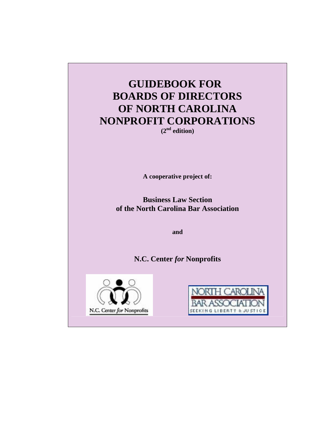# **GUIDEBOOK FOR BOARDS OF DIRECTORS OF NORTH CAROLINA NONPROFIT CORPORATIONS (2nd edition)**

**A cooperative project of:** 

**Business Law Section of the North Carolina Bar Association** 

**and** 

**N.C. Center** *for* **Nonprofits**



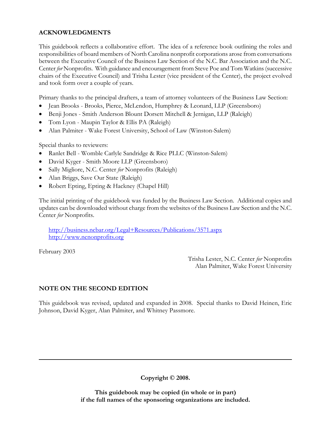## **ACKNOWLEDGMENTS**

This guidebook reflects a collaborative effort. The idea of a reference book outlining the roles and responsibilities of board members of North Carolina nonprofit corporations arose from conversations between the Executive Council of the Business Law Section of the N.C. Bar Association and the N.C. Center *for* Nonprofits. With guidance and encouragement from Steve Poe and Tom Watkins (successive chairs of the Executive Council) and Trisha Lester (vice president of the Center), the project evolved and took form over a couple of years.

Primary thanks to the principal drafters, a team of attorney volunteers of the Business Law Section:

- Jean Brooks Brooks, Pierce, McLendon, Humphrey & Leonard, LLP (Greensboro)
- Benji Jones Smith Anderson Blount Dorsett Mitchell & Jernigan, LLP (Raleigh)
- Tom Lyon Maupin Taylor & Ellis PA (Raleigh)
- Alan Palmiter Wake Forest University, School of Law (Winston-Salem)

Special thanks to reviewers:

- Ranlet Bell Womble Carlyle Sandridge & Rice PLLC (Winston-Salem)
- David Kyger Smith Moore LLP (Greensboro)
- Sally Migliore, N.C. Center *for* Nonprofits (Raleigh)
- Alan Briggs, Save Our State (Raleigh)
- Robert Epting, Epting & Hackney (Chapel Hill)

The initial printing of the guidebook was funded by the Business Law Section. Additional copies and updates can be downloaded without charge from the websites of the Business Law Section and the N.C. Center *for* Nonprofits.

http://business.ncbar.org/Legal+Resources/Publications/3571.aspx http://www.ncnonprofits.org

February 2003

 Trisha Lester, N.C. Center *for* Nonprofits Alan Palmiter, Wake Forest University

## **NOTE ON THE SECOND EDITION**

This guidebook was revised, updated and expanded in 2008. Special thanks to David Heinen, Eric Johnson, David Kyger, Alan Palmiter, and Whitney Passmore.

**Copyright © 2008.** 

 **This guidebook may be copied (in whole or in part) if the full names of the sponsoring organizations are included.**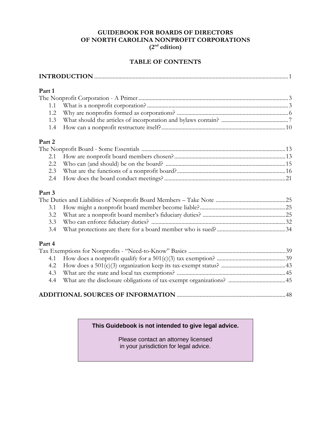### **GUIDEBOOK FOR BOARDS OF DIRECTORS OF NORTH CAROLINA NONPROFIT CORPORATIONS (2nd edition)**

## **TABLE OF CONTENTS**

| Part 1 |  |  |
|--------|--|--|
|        |  |  |
|        |  |  |
|        |  |  |
|        |  |  |

1.4 How can a nonprofit restructure itself?.......................................................................................10

## **Part 2**

## **Part 3**

#### **Part 4**

| 4.3 |  |
|-----|--|
|     |  |
|     |  |

## **ADDITIONAL SOURCES OF INFORMATION** ............................................................................48

#### **This Guidebook is not intended to give legal advice.**

 Please contact an attorney licensed in your jurisdiction for legal advice.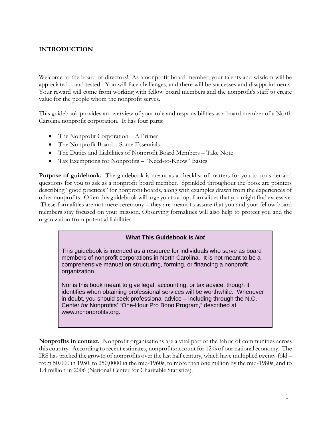## **INTRODUCTION**

Welcome to the board of directors! As a nonprofit board member, your talents and wisdom will be appreciated – and tested. You will face challenges, and there will be successes and disappointments. Your reward will come from working with fellow board members and the nonprofit's staff to create value for the people whom the nonprofit serves.

This guidebook provides an overview of your role and responsibilities as a board member of a North Carolina nonprofit corporation. It has four parts:

- The Nonprofit Corporation A Primer
- The Nonprofit Board Some Essentials
- The Duties and Liabilities of Nonprofit Board Members Take Note
- Tax Exemptions for Nonprofits "Need-to-Know" Basics

**Purpose of guidebook.** The guidebook is meant as a checklist of matters for you to consider and questions for you to ask as a nonprofit board member. Sprinkled throughout the book are pointers describing "good practices" for nonprofit boards, along with examples drawn from the experiences of other nonprofits. Often this guidebook will urge you to adopt formalities that you might find excessive. These formalities are not mere ceremony – they are meant to assure that you and your fellow board members stay focused on your mission. Observing formalities will also help to protect you and the organization from potential liabilities.

#### **What This Guidebook Is** *Not*

This guidebook is intended as a resource for individuals who serve as board members of nonprofit corporations in North Carolina. It is not meant to be a comprehensive manual on structuring, forming, or financing a nonprofit organization.

Nor is this book meant to give legal, accounting, or tax advice, though it identifies when obtaining professional services will be worthwhile. Whenever in doubt, you should seek professional advice – including through the N.C. Center *for* Nonprofits' "One-Hour Pro Bono Program," described at www.ncnonprofits.org.

**Nonprofits in context.** Nonprofit organizations are a vital part of the fabric of communities across this country. According to recent estimates, nonprofits account for 12% of our national economy. The IRS has tracked the growth of nonprofits over the last half century, which have multiplied twenty-fold – from 50,000 in 1950, to 250,0000 in the mid-1960s, to more than one million by the mid-1980s, and to 1.4 million in 2006 (National Center for Charitable Statistics).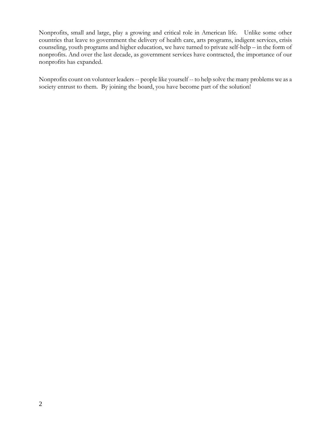Nonprofits, small and large, play a growing and critical role in American life. Unlike some other countries that leave to government the delivery of health care, arts programs, indigent services, crisis counseling, youth programs and higher education, we have turned to private self-help – in the form of nonprofits. And over the last decade, as government services have contracted, the importance of our nonprofits has expanded.

Nonprofits count on volunteer leaders -- people like yourself -- to help solve the many problems we as a society entrust to them. By joining the board, you have become part of the solution!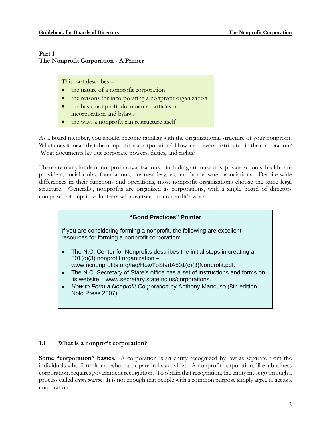## **Part 1 The Nonprofit Corporation - A Primer**

This part describes –

- the nature of a nonprofit corporation
- the reasons for incorporating a nonprofit organization
- the basic nonprofit documents articles of incorporation and bylaws
- the ways a nonprofit can restructure itself

As a board member, you should become familiar with the organizational structure of your nonprofit. What does it mean that the nonprofit is a corporation? How are powers distributed in the corporation? What documents lay out corporate powers, duties, and rights?

There are many kinds of nonprofit organizations – including art museums, private schools, health care providers, social clubs, foundations, business leagues, and homeowner associations. Despite wide differences in their functions and operations, most nonprofit organizations choose the same legal structure. Generally, nonprofits are organized as corporations, with a single board of directors composed of unpaid volunteers who oversee the nonprofit's work.

## **"Good Practices" Pointer** If you are considering forming a nonprofit, the following are excellent resources for forming a nonprofit corporation: • The N.C. Center for Nonprofits describes the initial steps in creating a  $501(c)(3)$  nonprofit organization  $$ www.ncnonprofits.org/faq/HowToStartA501(c)(3)Nonprofit.pdf. • The N.C. Secretary of State's office has a set of instructions and forms on its website – www.secretary.state.nc.us/corporations. • *How to Form a Nonprofit Corporation* by Anthony Mancuso (8th edition, Nolo Press 2007).

## **1.1 What is a nonprofit corporation?**

**Some "corporation" basics.** A corporation is an entity recognized by law as separate from the individuals who form it and who participate in its activities. A nonprofit corporation, like a business corporation, requires government recognition. To obtain that recognition, the entity must go through a process called *incorporation.* It is not enough that people with a common purpose simply agree to act as a corporation.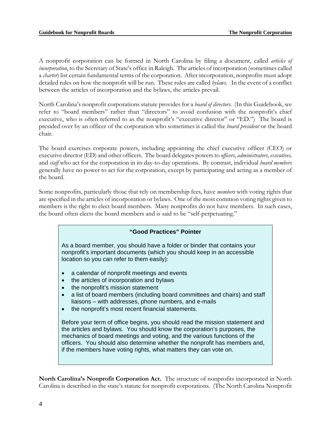A nonprofit corporation can be formed in North Carolina by filing a document, called *articles of incorporation*, to the Secretary of State's office in Raleigh. The articles of incorporation (sometimes called a *charter*) list certain fundamental terms of the corporation. After incorporation, nonprofits must adopt detailed rules on how the nonprofit will be run. These rules are called *bylaws*. In the event of a conflict between the articles of incorporation and the bylaws, the articles prevail.

North Carolina's nonprofit corporations statute provides for a *board of directors.* (In this Guidebook, we refer to "board members" rather than "directors" to avoid confusion with the nonprofit's chief executive, who is often referred to as the nonprofit's "executive director" or "ED.") The board is presided over by an officer of the corporation who sometimes is called the *board president* or the board chair.

The board exercises corporate powers, including appointing the chief executive officer (CEO) or executive director (ED) and other officers. The board delegates powers to *officers*, *administrators, executives,*  and *staff* who act for the corporation in its day-to-day operations. By contrast, individual *board members* generally have no power to act for the corporation, except by participating and acting as a member of the board.

Some nonprofits, particularly those that rely on membership fees, have *members* with voting rights that are specified in the articles of incorporation or bylaws. One of the most common voting rights given to members is the right to elect board members. Many nonprofits do not have members. In such cases, the board often elects the board members and is said to be "self-perpetuating."

#### **"Good Practices" Pointer**

As a board member, you should have a folder or binder that contains your nonprofit's important documents (which you should keep in an accessible location so you can refer to them easily):

- a calendar of nonprofit meetings and events
- the articles of incorporation and bylaws
- the nonprofit's mission statement
- a list of board members (including board committees and chairs) and staff liaisons – with addresses, phone numbers, and e-mails
- the nonprofit's most recent financial statements.

Before your term of office begins, you should read the mission statement and the articles and bylaws. You should know the corporation's purposes, the mechanics of board meetings and voting, and the various functions of the officers. You should also determine whether the nonprofit has members and, if the members have voting rights, what matters they can vote on.

**North Carolina's Nonprofit Corporation Act.** The structure of nonprofits incorporated in North Carolina is described in the state's statute for nonprofit corporations. (The North Carolina Nonprofit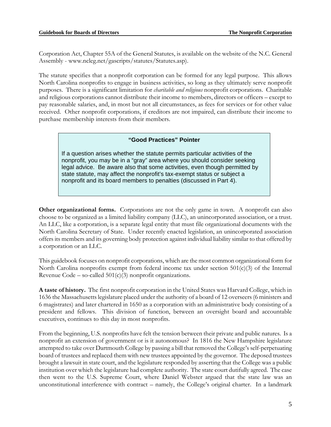Corporation Act, Chapter 55A of the General Statutes, is available on the website of the N.C. General Assembly - www.ncleg.net/gascripts/statutes/Statutes.asp).

The statute specifies that a nonprofit corporation can be formed for any legal purpose. This allows North Carolina nonprofits to engage in business activities, so long as they ultimately serve nonprofit purposes. There is a significant limitation for *charitable and religious* nonprofit corporations. Charitable and religious corporations cannot distribute their income to members, directors or officers – except to pay reasonable salaries, and, in most but not all circumstances, as fees for services or for other value received. Other nonprofit corporations, if creditors are not impaired, can distribute their income to purchase membership interests from their members.

#### **"Good Practices" Pointer**

If a question arises whether the statute permits particular activities of the nonprofit, you may be in a "gray" area where you should consider seeking legal advice. Be aware also that some activities, even though permitted by state statute, may affect the nonprofit's tax-exempt status or subject a nonprofit and its board members to penalties (discussed in Part 4).

**Other organizational forms.** Corporations are not the only game in town. A nonprofit can also choose to be organized as a limited liability company (LLC), an unincorporated association, or a trust. An LLC, like a corporation, is a separate legal entity that must file organizational documents with the North Carolina Secretary of State. Under recently enacted legislation, an unincorporated association offers its members and its governing body protection against individual liability similar to that offered by a corporation or an LLC.

This guidebook focuses on nonprofit corporations, which are the most common organizational form for North Carolina nonprofits exempt from federal income tax under section  $501(c)(3)$  of the Internal Revenue Code – so-called  $501(c)(3)$  nonprofit organizations.

**A taste of history.** The first nonprofit corporation in the United States was Harvard College, which in 1636 the Massachusetts legislature placed under the authority of a board of 12 overseers (6 ministers and 6 magistrates) and later chartered in 1650 as a corporation with an administrative body consisting of a president and fellows. This division of function, between an oversight board and accountable executives, continues to this day in most nonprofits.

From the beginning, U.S. nonprofits have felt the tension between their private and public natures. Is a nonprofit an extension of government or is it autonomous? In 1816 the New Hampshire legislature attempted to take over Dartmouth College by passing a bill that removed the College's self-perpetuating board of trustees and replaced them with new trustees appointed by the governor. The deposed trustees brought a lawsuit in state court, and the legislature responded by asserting that the College was a public institution over which the legislature had complete authority. The state court dutifully agreed. The case then went to the U.S. Supreme Court, where Daniel Webster argued that the state law was an unconstitutional interference with contract – namely, the College's original charter. In a landmark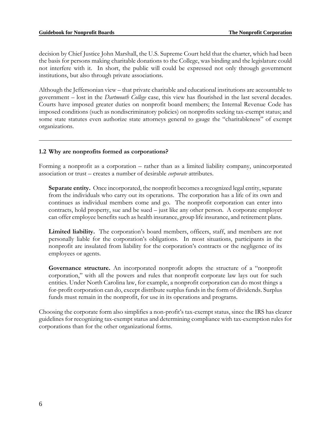decision by Chief Justice John Marshall, the U.S. Supreme Court held that the charter, which had been the basis for persons making charitable donations to the College, was binding and the legislature could not interfere with it. In short, the public will could be expressed not only through government institutions, but also through private associations.

Although the Jeffersonian view – that private charitable and educational institutions are accountable to government – lost in the *Dartmouth College* case, this view has flourished in the last several decades. Courts have imposed greater duties on nonprofit board members; the Internal Revenue Code has imposed conditions (such as nondiscriminatory policies) on nonprofits seeking tax-exempt status; and some state statutes even authorize state attorneys general to gauge the "charitableness" of exempt organizations.

#### **1.2 Why are nonprofits formed as corporations?**

Forming a nonprofit as a corporation – rather than as a limited liability company, unincorporated association or trust – creates a number of desirable *corporate* attributes.

**Separate entity.** Once incorporated, the nonprofit becomes a recognized legal entity, separate from the individuals who carry out its operations. The corporation has a life of its own and continues as individual members come and go. The nonprofit corporation can enter into contracts, hold property, sue and be sued – just like any other person. A corporate employer can offer employee benefits such as health insurance, group life insurance, and retirement plans.

**Limited liability.** The corporation's board members, officers, staff, and members are not personally liable for the corporation's obligations. In most situations, participants in the nonprofit are insulated from liability for the corporation's contracts or the negligence of its employees or agents.

**Governance structure.** An incorporated nonprofit adopts the structure of a "nonprofit corporation," with all the powers and rules that nonprofit corporate law lays out for such entities. Under North Carolina law, for example, a nonprofit corporation can do most things a for-profit corporation can do, except distribute surplus funds in the form of dividends. Surplus funds must remain in the nonprofit, for use in its operations and programs.

Choosing the corporate form also simplifies a non-profit's tax-exempt status, since the IRS has clearer guidelines for recognizing tax-exempt status and determining compliance with tax-exemption rules for corporations than for the other organizational forms.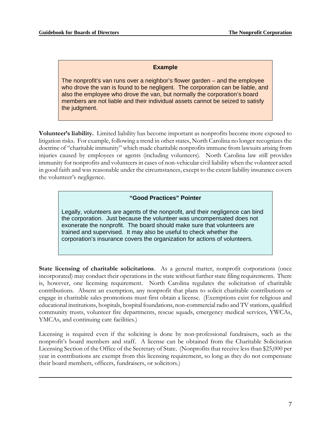### **Example**

The nonprofit's van runs over a neighbor's flower garden – and the employee who drove the van is found to be negligent. The corporation can be liable, and also the employee who drove the van, but normally the corporation's board members are not liable and their individual assets cannot be seized to satisfy the judgment.

**Volunteer's liability.** Limited liability has become important as nonprofits become more exposed to litigation risks. For example, following a trend in other states, North Carolina no longer recognizes the doctrine of "charitable immunity" which made charitable nonprofits immune from lawsuits arising from injuries caused by employees or agents (including volunteers). North Carolina law still provides immunity for nonprofits and volunteers in cases of non-vehicular civil liability when the volunteer acted in good faith and was reasonable under the circumstances, except to the extent liability insurance covers the volunteer's negligence.

#### **"Good Practices" Pointer**

Legally, volunteers are agents of the nonprofit, and their negligence can bind the corporation. Just because the volunteer was uncompensated does not exonerate the nonprofit. The board should make sure that volunteers are trained and supervised. It may also be useful to check whether the corporation's insurance covers the organization for actions of volunteers.

**State licensing of charitable solicitations.** As a general matter, nonprofit corporations (once incorporated) may conduct their operations in the state without further state filing requirements. There is, however, one licensing requirement. North Carolina regulates the solicitation of charitable contributions. Absent an exemption, any nonprofit that plans to solicit charitable contributions or engage in charitable sales promotions must first obtain a license. (Exemptions exist for religious and educational institutions, hospitals, hospital foundations, non-commercial radio and TV stations, qualified community trusts, volunteer fire departments, rescue squads, emergency medical services, YWCAs, YMCAs, and continuing care facilities.)

Licensing is required even if the soliciting is done by non-professional fundraisers, such as the nonprofit's board members and staff. A license can be obtained from the Charitable Solicitation Licensing Section of the Office of the Secretary of State. (Nonprofits that receive less than \$25,000 per year in contributions are exempt from this licensing requirement, so long as they do not compensate their board members, officers, fundraisers, or solicitors.)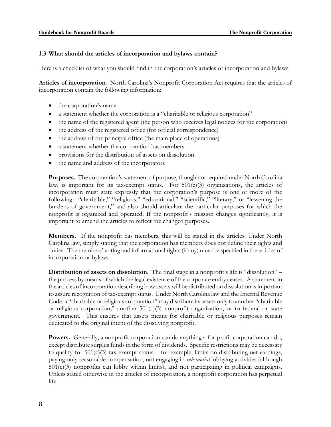### **1.3 What should the articles of incorporation and bylaws contain?**

Here is a checklist of what you should find in the corporation's articles of incorporation and bylaws.

**Articles of incorporation**. North Carolina's Nonprofit Corporation Act requires that the articles of incorporation contain the following information:

- the corporation's name
- a statement whether the corporation is a "charitable or religious corporation"
- the name of the registered agent (the person who receives legal notices for the corporation)
- the address of the registered office (for official correspondence)
- the address of the principal office (the main place of operations)
- a statement whether the corporation has members
- provisions for the distribution of assets on dissolution
- the name and address of the incorporators

**Purposes.** The corporation's statement of purpose, though not required under North Carolina law, is important for its tax-exempt status. For  $501(c)(3)$  organizations, the articles of incorporation must state expressly that the corporation's purpose is one or more of the following: "charitable," "religious," "educational," "scientific," "literary," or "lessening the burdens of government," and also should articulate the particular purposes for which the nonprofit is organized and operated. If the nonprofit's mission changes significantly, it is important to amend the articles to reflect the changed purposes.

**Members.** If the nonprofit has members, this will be stated in the articles. Under North Carolina law, simply stating that the corporation has members does not define their rights and duties. The members' voting and informational rights (if any) must be specified in the articles of incorporation or bylaws.

**Distribution of assets on dissolution.** The final stage in a nonprofit's life is "dissolution" – the process by means of which the legal existence of the corporate entity ceases. A statement in the articles of incorporation describing how assets will be distributed on dissolution is important to assure recognition of tax-exempt status. Under North Carolina law and the Internal Revenue Code, a "charitable or religious corporation" may distribute its assets only to another "charitable or religious corporation," another  $501(c)(3)$  nonprofit organization, or to federal or state government. This ensures that assets meant for charitable or religious purposes remain dedicated to the original intent of the dissolving nonprofit.

**Powers.** Generally, a nonprofit corporation can do anything a for-profit corporation can do, except distribute surplus funds in the form of dividends. Specific restrictions may be necessary to qualify for  $501(c)(3)$  tax-exempt status – for example, limits on distributing net earnings, paying only reasonable compensation, not engaging in *substantial* lobbying activities (although 501(c)(3) nonprofits can lobby within limits), and not participating in political campaigns. Unless stated otherwise in the articles of incorporation, a nonprofit corporation has perpetual life.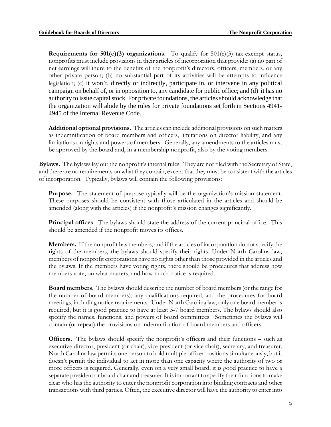**Requirements for 501(c)(3) organizations.** To qualify for  $501(c)(3)$  tax-exempt status, nonprofits must include provisions in their articles of incorporation that provide: (a) no part of net earnings will inure to the benefits of the nonprofit's directors, officers, members, or any other private person; (b) no substantial part of its activities will be attempts to influence legislation; (c) it won't, directly or indirectly, participate in, or intervene in any political campaign on behalf of, or in opposition to, any candidate for public office; and (d) it has no authority to issue capital stock. For private foundations, the articles should acknowledge that the organization will abide by the rules for private foundations set forth in Sections 4941- 4945 of the Internal Revenue Code.

**Additional optional provisions.** The articles can include additional provisions on such matters as indemnification of board members and officers, limitations on director liability, and any limitations on rights and powers of members. Generally, any amendments to the articles must be approved by the board and, in a membership nonprofit, also by the voting members.

**Bylaws.** The bylaws lay out the nonprofit's internal rules. They are not filed with the Secretary of State, and there are no requirements on what they contain, except that they must be consistent with the articles of incorporation. Typically, bylaws will contain the following provisions:

**Purpose.** The statement of purpose typically will be the organization's mission statement. These purposes should be consistent with those articulated in the articles and should be amended (along with the articles) if the nonprofit's mission changes significantly.

**Principal offices**. The bylaws should state the address of the current principal office. This should be amended if the nonprofit moves its offices.

**Members.** If the nonprofit has members, and if the articles of incorporation do not specify the rights of the members, the bylaws should specify their rights. Under North Carolina law, members of nonprofit corporations have no rights other than those provided in the articles and the bylaws. If the members have voting rights, there should be procedures that address how members vote, on what matters, and how much notice is required.

**Board members.** The bylaws should describe the number of board members (or the range for the number of board members), any qualifications required, and the procedures for board meetings, including notice requirements. Under North Carolina law, only one board member is required, but it is good practice to have at least 5-7 board members. The bylaws should also specify the names, functions, and powers of board committees. Sometimes the bylaws will contain (or repeat) the provisions on indemnification of board members and officers.

**Officers.** The bylaws should specify the nonprofit's officers and their functions – such as executive director, president (or chair), vice president (or vice chair), secretary, and treasurer. North Carolina law permits one person to hold multiple officer positions simultaneously, but it doesn't permit the individual to act in more than one capacity where the authority of two or more officers is required. Generally, even on a very small board, it is good practice to have a separate president or board chair and treasurer. It is important to specify their functions to make clear who has the authority to enter the nonprofit corporation into binding contracts and other transactions with third parties. Often, the executive director will have the authority to enter into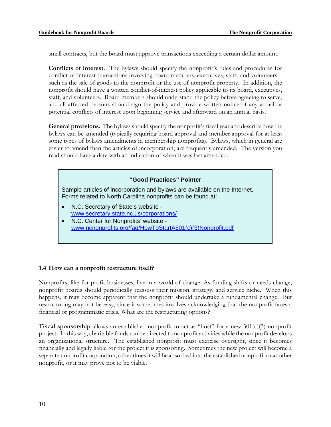small contracts, but the board must approve transactions exceeding a certain dollar amount.

**Conflicts of interest.** The bylaws should specify the nonprofit's rules and procedures for conflict-of-interest transactions involving board members, executives, staff, and volunteers – such as the sale of goods to the nonprofit or the use of nonprofit property. In addition, the nonprofit should have a written conflict-of-interest policy applicable to its board, executives, staff, and volunteers. Board members should understand the policy before agreeing to serve, and all affected persons should sign the policy and provide written notice of any actual or potential conflicts of interest upon beginning service and afterward on an annual basis.

**General provisions.** The bylaws should specify the nonprofit's fiscal year and describe how the bylaws can be amended (typically requiring board approval and member approval for at least some types of bylaws amendments in membership nonprofits). Bylaws, which in general are easier to amend than the articles of incorporation, are frequently amended. The version you read should have a date with an indication of when it was last amended.

#### **"Good Practices" Pointer**

Sample articles of incorporation and bylaws are available on the Internet. Forms related to North Carolina nonprofits can be found at:

- N.C. Secretary of State's website www.secretary.state.nc.us/corporations/
- N.C. Center for Nonprofits' website www.ncnonprofits.org/faq/HowToStartA501(c)(3)Nonprofit.pdf

#### **1.4 How can a nonprofit restructure itself?**

Nonprofits, like for-profit businesses, live in a world of change. As funding shifts or needs change, nonprofit boards should periodically reassess their mission, strategy, and service niche. When this happens, it may become apparent that the nonprofit should undertake a fundamental change. But restructuring may not be easy, since it sometimes involves acknowledging that the nonprofit faces a financial or programmatic crisis. What are the restructuring options?

Fiscal sponsorship allows an established nonprofit to act as "host" for a new 501(c)(3) nonprofit project. In this way, charitable funds can be directed to nonprofit activities while the nonprofit develops an organizational structure. The established nonprofit must exercise oversight, since it becomes financially and legally liable for the project it is sponsoring. Sometimes the new project will become a separate nonprofit corporation; other times it will be absorbed into the established nonprofit or another nonprofit, or it may prove not to be viable.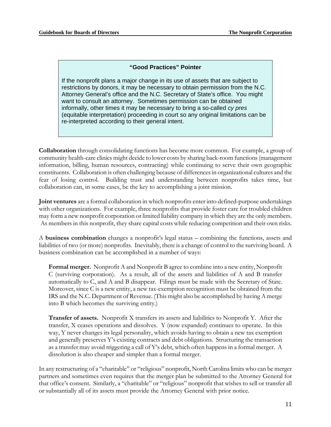## **"Good Practices" Pointer**

If the nonprofit plans a major change in its use of assets that are subject to restrictions by donors, it may be necessary to obtain permission from the N.C. Attorney General's office and the N.C. Secretary of State's office. You might want to consult an attorney. Sometimes permission can be obtained informally, other times it may be necessary to bring a so-called *cy pres* (equitable interpretation) proceeding in court so any original limitations can be re-interpreted according to their general intent.

**Collaboration** through consolidating functions has become more common. For example, a group of community health-care clinics might decide to lower costs by sharing back-room functions (management information, billing, human resources, contracting) while continuing to serve their own geographic constituents. Collaboration is often challenging because of differences in organizational cultures and the fear of losing control. Building trust and understanding between nonprofits takes time, but collaboration can, in some cases, be the key to accomplishing a joint mission.

**Joint ventures** are a formal collaboration in which nonprofits enter into defined-purpose undertakings with other organizations. For example, three nonprofits that provide foster care for troubled children may form a new nonprofit corporation or limited liability company in which they are the only members. As members in this nonprofit, they share capital costs while reducing competition and their own risks.

A **business combination** changes a nonprofit's legal status – combining the functions, assets and liabilities of two (or more) nonprofits. Inevitably, there is a change of control to the surviving board. A business combination can be accomplished in a number of ways:

**Formal merger.** Nonprofit A and Nonprofit B agree to combine into a new entity, Nonprofit C (surviving corporation). As a result, all of the assets and liabilities of A and B transfer automatically to C, and A and B disappear. Filings must be made with the Secretary of State. Moreover, since C is a new entity, a new tax-exemption recognition must be obtained from the IRS and the N.C. Department of Revenue. (This might also be accomplished by having A merge into B which becomes the surviving entity.)

**Transfer of assets.** Nonprofit X transfers its assets and liabilities to Nonprofit Y. After the transfer, X ceases operations and dissolves. Y (now expanded) continues to operate. In this way, Y never changes its legal personality, which avoids having to obtain a new tax exemption and generally preserves Y's existing contracts and debt obligations. Structuring the transaction as a transfer may avoid triggering a call of Y's debt, which often happens in a formal merger. A dissolution is also cheaper and simpler than a formal merger.

In any restructuring of a "charitable" or "religious" nonprofit, North Carolina limits who can be merger partners and sometimes even requires that the merger plan be submitted to the Attorney General for that office's consent. Similarly, a "charitable" or "religious" nonprofit that wishes to sell or transfer all or substantially all of its assets must provide the Attorney General with prior notice.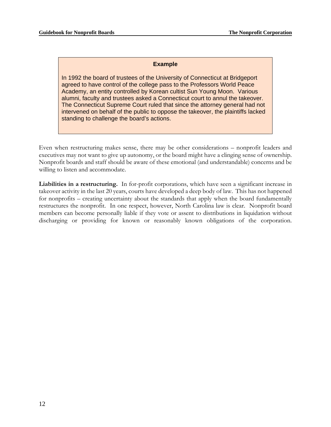ī

## **Example**

In 1992 the board of trustees of the University of Connecticut at Bridgeport agreed to have control of the college pass to the Professors World Peace Academy, an entity controlled by Korean cultist Sun Young Moon. Various alumni, faculty and trustees asked a Connecticut court to annul the takeover. The Connecticut Supreme Court ruled that since the attorney general had not intervened on behalf of the public to oppose the takeover, the plaintiffs lacked standing to challenge the board's actions.

Even when restructuring makes sense, there may be other considerations – nonprofit leaders and executives may not want to give up autonomy, or the board might have a clinging sense of ownership. Nonprofit boards and staff should be aware of these emotional (and understandable) concerns and be willing to listen and accommodate.

**Liabilities in a restructuring.** In for-profit corporations, which have seen a significant increase in takeover activity in the last 20 years, courts have developed a deep body of law. This has not happened for nonprofits – creating uncertainty about the standards that apply when the board fundamentally restructures the nonprofit. In one respect, however, North Carolina law is clear. Nonprofit board members can become personally liable if they vote or assent to distributions in liquidation without discharging or providing for known or reasonably known obligations of the corporation.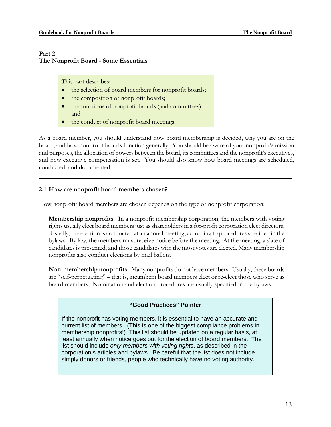### **Part 2 The Nonprofit Board - Some Essentials**

This part describes:

- the selection of board members for nonprofit boards;
- the composition of nonprofit boards;
- the functions of nonprofit boards (and committees); and
- the conduct of nonprofit board meetings.

As a board member, you should understand how board membership is decided, why you are on the board, and how nonprofit boards function generally. You should be aware of your nonprofit's mission and purposes, the allocation of powers between the board, its committees and the nonprofit's executives, and how executive compensation is set. You should also know how board meetings are scheduled, conducted, and documented.

## **2.1 How are nonprofit board members chosen?**

How nonprofit board members are chosen depends on the type of nonprofit corporation:

**Membership nonprofits**. In a nonprofit membership corporation, the members with voting rights usually elect board members just as shareholders in a for-profit corporation elect directors. Usually, the election is conducted at an annual meeting, according to procedures specified in the bylaws. By law, the members must receive notice before the meeting. At the meeting, a slate of candidates is presented, and those candidates with the most votes are elected. Many membership nonprofits also conduct elections by mail ballots.

**Non-membership nonprofits.** Many nonprofits do not have members. Usually, these boards are "self-perpetuating" – that is, incumbent board members elect or re-elect those who serve as board members. Nomination and election procedures are usually specified in the bylaws.

## **"Good Practices" Pointer**

If the nonprofit has voting members, it is essential to have an accurate and current list of members. (This is one of the biggest compliance problems in membership nonprofits!) This list should be updated on a regular basis, at least annually when notice goes out for the election of board members. The list should include *only members with voting rights*, as described in the corporation's articles and bylaws. Be careful that the list does not include simply donors or friends, people who technically have no voting authority.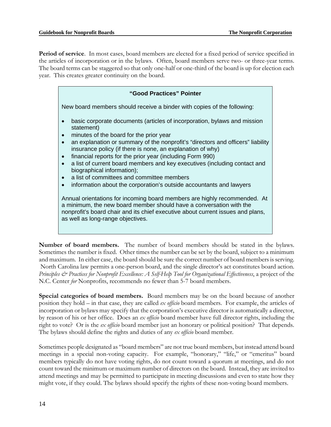**Period of service**. In most cases, board members are elected for a fixed period of service specified in the articles of incorporation or in the bylaws. Often, board members serve two- or three-year terms. The board terms can be staggered so that only one-half or one-third of the board is up for election each year. This creates greater continuity on the board.

| "Good Practices" Pointer                                                                                                                                                                                                                                                                                                                                                                                                                                                                                                                                                        |  |
|---------------------------------------------------------------------------------------------------------------------------------------------------------------------------------------------------------------------------------------------------------------------------------------------------------------------------------------------------------------------------------------------------------------------------------------------------------------------------------------------------------------------------------------------------------------------------------|--|
| New board members should receive a binder with copies of the following:                                                                                                                                                                                                                                                                                                                                                                                                                                                                                                         |  |
| basic corporate documents (articles of incorporation, bylaws and mission<br>statement)<br>minutes of the board for the prior year<br>an explanation or summary of the nonprofit's "directors and officers" liability<br>insurance policy (if there is none, an explanation of why)<br>financial reports for the prior year (including Form 990)<br>a list of current board members and key executives (including contact and<br>biographical information);<br>a list of committees and committee members<br>information about the corporation's outside accountants and lawyers |  |
| Annual orientations for incoming board members are highly recommended. At<br>a minimum, the new board member should have a conversation with the<br>nonprofit's board chair and its chief executive about current issues and plans,<br>as well as long-range objectives.                                                                                                                                                                                                                                                                                                        |  |

**Number of board members.** The number of board members should be stated in the bylaws. Sometimes the number is fixed. Other times the number can be set by the board, subject to a minimum and maximum. In either case, the board should be sure the correct number of board members is serving. North Carolina law permits a one-person board, and the single director's act constitutes board action. *Principles & Practices for Nonprofit Excellence: A Self-Help Tool for Organizational Effectiveness*, a project of the N.C. Center *for* Nonprofits, recommends no fewer than 5-7 board members.

**Special categories of board members.** Board members may be on the board because of another position they hold – in that case, they are called *ex officio* board members. For example, the articles of incorporation or bylaws may specify that the corporation's executive director is automatically a director, by reason of his or her office. Does an *ex officio* board member have full director rights, including the right to vote? Or is the *ex officio* board member just an honorary or political position? That depends. The bylaws should define the rights and duties of any *ex officio* board member.

Sometimes people designated as "board members" are not true board members, but instead attend board meetings in a special non-voting capacity. For example, "honorary," "life," or "emeritus" board members typically do not have voting rights, do not count toward a quorum at meetings, and do not count toward the minimum or maximum number of directors on the board. Instead, they are invited to attend meetings and may be permitted to participate in meeting discussions and even to state how they might vote, if they could. The bylaws should specify the rights of these non-voting board members.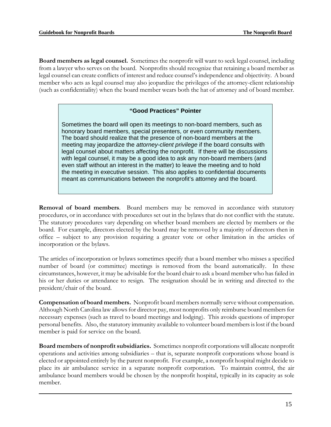**Board members as legal counsel.** Sometimes the nonprofit will want to seek legal counsel, including from a lawyer who serves on the board. Nonprofits should recognize that retaining a board member as legal counsel can create conflicts of interest and reduce counsel's independence and objectivity. A board member who acts as legal counsel may also jeopardize the privileges of the attorney-client relationship (such as confidentiality) when the board member wears both the hat of attorney and of board member.

## **"Good Practices" Pointer**

Sometimes the board will open its meetings to non-board members, such as honorary board members, special presenters, or even community members. The board should realize that the presence of non-board members at the meeting may jeopardize the *attorney-client privilege* if the board consults with legal counsel about matters affecting the nonprofit. If there will be discussions with legal counsel, it may be a good idea to ask any non-board members (and even staff without an interest in the matter) to leave the meeting and to hold the meeting in executive session. This also applies to confidential documents meant as communications between the nonprofit's attorney and the board.

**Removal of board members**. Board members may be removed in accordance with statutory procedures, or in accordance with procedures set out in the bylaws that do not conflict with the statute. The statutory procedures vary depending on whether board members are elected by members or the board. For example, directors elected by the board may be removed by a majority of directors then in office – subject to any provision requiring a greater vote or other limitation in the articles of incorporation or the bylaws.

The articles of incorporation or bylaws sometimes specify that a board member who misses a specified number of board (or committee) meetings is removed from the board automatically. In these circumstances, however, it may be advisable for the board chair to ask a board member who has failed in his or her duties or attendance to resign. The resignation should be in writing and directed to the president/chair of the board.

**Compensation of board members.** Nonprofit board members normally serve without compensation. Although North Carolina law allows for director pay, most nonprofits only reimburse board members for necessary expenses (such as travel to board meetings and lodging). This avoids questions of improper personal benefits. Also, the statutory immunity available to volunteer board members is lost if the board member is paid for service on the board.

**Board members of nonprofit subsidiaries.** Sometimes nonprofit corporations will allocate nonprofit operations and activities among subsidiaries – that is, separate nonprofit corporations whose board is elected or appointed entirely by the parent nonprofit. For example, a nonprofit hospital might decide to place its air ambulance service in a separate nonprofit corporation. To maintain control, the air ambulance board members would be chosen by the nonprofit hospital, typically in its capacity as sole member.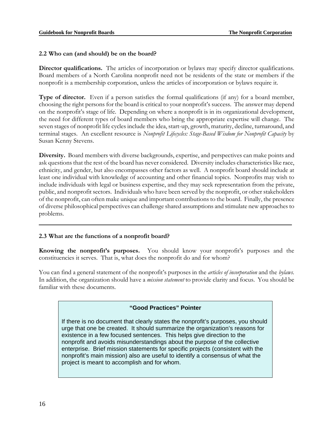#### **2.2 Who can (and should) be on the board?**

**Director qualifications.** The articles of incorporation or bylaws may specify director qualifications. Board members of a North Carolina nonprofit need not be residents of the state or members if the nonprofit is a membership corporation, unless the articles of incorporation or bylaws require it.

**Type of director.** Even if a person satisfies the formal qualifications (if any) for a board member, choosing the right persons for the board is critical to your nonprofit's success. The answer may depend on the nonprofit's stage of life. Depending on where a nonprofit is in its organizational development, the need for different types of board members who bring the appropriate expertise will change. The seven stages of nonprofit life cycles include the idea, start-up, growth, maturity, decline, turnaround, and terminal stages. An excellent resource is *Nonprofit Lifecycles: Stage-Based Wisdom for Nonprofit Capacity* by Susan Kenny Stevens.

**Diversity.** Board members with diverse backgrounds, expertise, and perspectives can make points and ask questions that the rest of the board has never considered. Diversity includes characteristics like race, ethnicity, and gender, but also encompasses other factors as well. A nonprofit board should include at least one individual with knowledge of accounting and other financial topics. Nonprofits may wish to include individuals with legal or business expertise, and they may seek representation from the private, public, and nonprofit sectors. Individuals who have been served by the nonprofit, or other stakeholders of the nonprofit, can often make unique and important contributions to the board. Finally, the presence of diverse philosophical perspectives can challenge shared assumptions and stimulate new approaches to problems.

#### **2.3 What are the functions of a nonprofit board?**

**Knowing the nonprofit's purposes.** You should know your nonprofit's purposes and the constituencies it serves. That is, what does the nonprofit do and for whom?

You can find a general statement of the nonprofit's purposes in the *articles of incorporation* and the *bylaws.*  In addition, the organization should have a *mission statement* to provide clarity and focus. You should be familiar with these documents.

#### **"Good Practices" Pointer**

If there is no document that clearly states the nonprofit's purposes, you should urge that one be created. It should summarize the organization's reasons for existence in a few focused sentences. This helps give direction to the nonprofit and avoids misunderstandings about the purpose of the collective enterprise. Brief mission statements for specific projects (consistent with the nonprofit's main mission) also are useful to identify a consensus of what the project is meant to accomplish and for whom.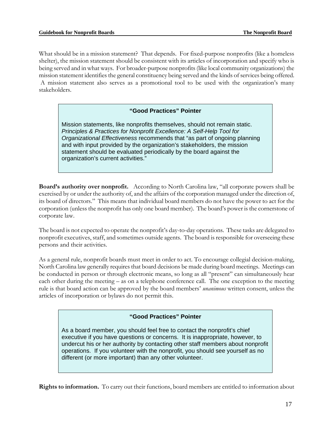stakeholders.

What should be in a mission statement? That depends. For fixed-purpose nonprofits (like a homeless shelter), the mission statement should be consistent with its articles of incorporation and specify who is being served and in what ways. For broader-purpose nonprofits (like local community organizations) the mission statement identifies the general constituency being served and the kinds of services being offered. A mission statement also serves as a promotional tool to be used with the organization's many

## **"Good Practices" Pointer**

Mission statements, like nonprofits themselves, should not remain static. *Principles & Practices for Nonprofit Excellence: A Self-Help Tool for Organizational Effectiveness* recommends that "as part of ongoing planning and with input provided by the organization's stakeholders, the mission statement should be evaluated periodically by the board against the organization's current activities."

**Board's authority over nonprofit.** According to North Carolina law, "all corporate powers shall be exercised by or under the authority of, and the affairs of the corporation managed under the direction of, its board of directors." This means that individual board members do not have the power to act for the corporation (unless the nonprofit has only one board member). The board's power is the cornerstone of corporate law.

The board is not expected to operate the nonprofit's day-to-day operations. These tasks are delegated to nonprofit executives, staff, and sometimes outside agents. The board is responsible for overseeing these persons and their activities.

As a general rule, nonprofit boards must meet in order to act. To encourage collegial decision-making, North Carolina law generally requires that board decisions be made during board meetings. Meetings can be conducted in person or through electronic means, so long as all "present" can simultaneously hear each other during the meeting – as on a telephone conference call. The one exception to the meeting rule is that board action can be approved by the board members' *unanimous* written consent, unless the articles of incorporation or bylaws do not permit this.

#### **"Good Practices" Pointer**

As a board member, you should feel free to contact the nonprofit's chief executive if you have questions or concerns. It is inappropriate, however, to undercut his or her authority by contacting other staff members about nonprofit operations. If you volunteer with the nonprofit, you should see yourself as no different (or more important) than any other volunteer.

**Rights to information.** To carry out their functions, board members are entitled to information about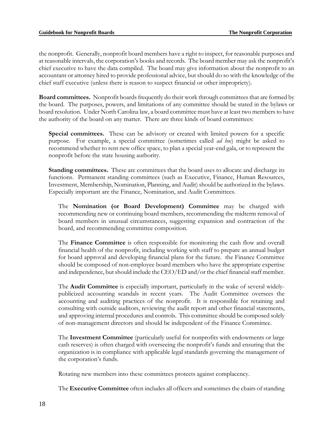the nonprofit. Generally, nonprofit board members have a right to inspect, for reasonable purposes and at reasonable intervals, the corporation's books and records. The board member may ask the nonprofit's chief executive to have the data compiled. The board may give information about the nonprofit to an accountant or attorney hired to provide professional advice, but should do so with the knowledge of the chief staff executive (unless there is reason to suspect financial or other impropriety).

**Board committees.** Nonprofit boards frequently do their work through committees that are formed by the board. The purposes, powers, and limitations of any committee should be stated in the bylaws or board resolution. Under North Carolina law, a board committee must have at least two members to have the authority of the board on any matter. There are three kinds of board committees:

**Special committees.** These can be advisory or created with limited powers for a specific purpose. For example, a special committee (sometimes called *ad hoc*) might be asked to recommend whether to rent new office space, to plan a special year-end gala, or to represent the nonprofit before the state housing authority.

**Standing committees.** These are committees that the board uses to allocate and discharge its functions. Permanent standing committees (such as Executive, Finance, Human Resources, Investment, Membership, Nomination, Planning, and Audit) should be authorized in the bylaws. Especially important are the Finance, Nomination, and Audit Committees.

The **Nomination (or Board Development) Committee** may be charged with recommending new or continuing board members, recommending the midterm removal of board members in unusual circumstances, suggesting expansion and contraction of the board, and recommending committee composition.

The **Finance Committee** is often responsible for monitoring the cash flow and overall financial health of the nonprofit, including working with staff to prepare an annual budget for board approval and developing financial plans for the future. the Finance Committee should be composed of non-employee board members who have the appropriate expertise and independence, but should include the CEO/ED and/or the chief financial staff member.

The **Audit Committee** is especially important, particularly in the wake of several widelypublicized accounting scandals in recent years. The Audit Committee oversees the accounting and auditing practices of the nonprofit. It is responsible for retaining and consulting with outside auditors, reviewing the audit report and other financial statements, and approving internal procedures and controls. This committee should be composed solely of non-management directors and should be independent of the Finance Committee.

The **Investment Committee** (particularly useful for nonprofits with endowments or large cash reserves) is often charged with overseeing the nonprofit's funds and ensuring that the organization is in compliance with applicable legal standards governing the management of the corporation's funds.

Rotating new members into these committees protects against complacency.

The **Executive Committee** often includes all officers and sometimes the chairs of standing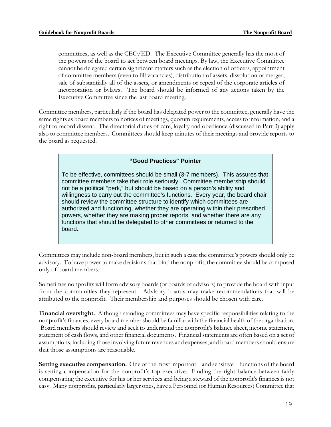committees, as well as the CEO/ED. The Executive Committee generally has the most of the powers of the board to act between board meetings. By law, the Executive Committee cannot be delegated certain significant matters such as the election of officers, appointment of committee members (even to fill vacancies), distribution of assets, dissolution or merger, sale of substantially all of the assets, or amendments or repeal of the corporate articles of incorporation or bylaws. The board should be informed of any actions taken by the Executive Committee since the last board meeting.

Committee members, particularly if the board has delegated power to the committee, generally have the same rights as board members to notices of meetings, quorum requirements, access to information, and a right to record dissent. The directorial duties of care, loyalty and obedience (discussed in Part 3) apply also to committee members. Committees should keep minutes of their meetings and provide reports to the board as requested.

#### **"Good Practices" Pointer**

To be effective, committees should be small (3-7 members). This assures that committee members take their role seriously. Committee membership should not be a political "perk," but should be based on a person's ability and willingness to carry out the committee's functions. Every year, the board chair should review the committee structure to identify which committees are authorized and functioning, whether they are operating within their prescribed powers, whether they are making proper reports, and whether there are any functions that should be delegated to other committees or returned to the board.

Committees may include non-board members, but in such a case the committee's powers should only be advisory. To have power to make decisions that bind the nonprofit, the committee should be composed only of board members.

Sometimes nonprofits will form advisory boards (or boards of advisors) to provide the board with input from the communities they represent. Advisory boards may make recommendations that will be attributed to the nonprofit. Their membership and purposes should be chosen with care.

**Financial oversitght.** Although standing committees may have specific responsibilities relating to the nonprofit's finances, every board member should be familiar with the financial health of the organization. Board members should review and seek to understand the nonprofit's balance sheet, income statement, statement of cash flows, and other financial documents. Financial statements are often based on a set of assumptions, including those involving future revenues and expenses, and board members should ensure that those assumptions are reasonable.

**Setting executive compensation.** One of the most important – and sensitive – functions of the board is setting compensation for the nonprofit's top executive. Finding the right balance between fairly compensating the executive for his or her services and being a steward of the nonprofit's finances is not easy. Many nonprofits, particularly larger ones, have a Personnel (or Human Resources) Committee that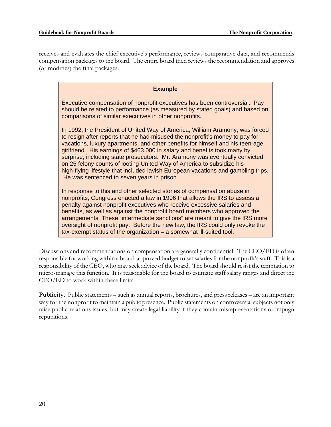receives and evaluates the chief executive's performance, reviews comparative data, and recommends compensation packages to the board. The entire board then reviews the recommendation and approves (or modifies) the final packages.

| <b>Example</b>                                                                                                                                                                                                                                                                                                                                                                                                                                                                                                                                                                                                        |
|-----------------------------------------------------------------------------------------------------------------------------------------------------------------------------------------------------------------------------------------------------------------------------------------------------------------------------------------------------------------------------------------------------------------------------------------------------------------------------------------------------------------------------------------------------------------------------------------------------------------------|
| Executive compensation of nonprofit executives has been controversial. Pay<br>should be related to performance (as measured by stated goals) and based on<br>comparisons of similar executives in other nonprofits.                                                                                                                                                                                                                                                                                                                                                                                                   |
| In 1992, the President of United Way of America, William Aramony, was forced<br>to resign after reports that he had misused the nonprofit's money to pay for<br>vacations, luxury apartments, and other benefits for himself and his teen-age<br>girlfriend. His earnings of \$463,000 in salary and benefits took many by<br>surprise, including state prosecutors. Mr. Aramony was eventually convicted<br>on 25 felony counts of looting United Way of America to subsidize his<br>high-flying lifestyle that included lavish European vacations and gambling trips.<br>He was sentenced to seven years in prison. |
| In response to this and other selected stories of compensation abuse in<br>nonprofits, Congress enacted a law in 1996 that allows the IRS to assess a                                                                                                                                                                                                                                                                                                                                                                                                                                                                 |

nonprofits, Congress enacted a law in 1996 that allows the IRS to assess a penalty against nonprofit executives who receive excessive salaries and benefits, as well as against the nonprofit board members who approved the arrangements. These "intermediate sanctions" are meant to give the IRS more oversight of nonprofit pay. Before the new law, the IRS could only revoke the tax-exempt status of the organization – a somewhat ill-suited tool.

Discussions and recommendations on compensation are generally confidential. The CEO/ED is often responsible for working within a board-approved budget to set salaries for the nonprofit's staff. This is a responsibility of the CEO, who may seek advice of the board. The board should resist the temptation to micro-manage this function. It is reasonable for the board to estimate staff salary ranges and direct the CEO/ED to work within these limits.

**Publicity.** Public statements – such as annual reports, brochures, and press releases – are an important way for the nonprofit to maintain a public presence. Public statements on controversial subjects not only raise public-relations issues, but may create legal liability if they contain misrepresentations or impugn reputations.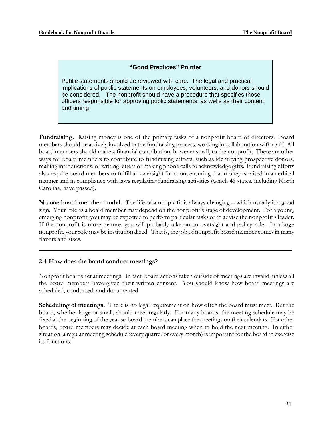## **"Good Practices" Pointer**

Public statements should be reviewed with care. The legal and practical implications of public statements on employees, volunteers, and donors should be considered. The nonprofit should have a procedure that specifies those officers responsible for approving public statements, as wells as their content and timing.

**Fundraising.** Raising money is one of the primary tasks of a nonprofit board of directors. Board members should be actively involved in the fundraising process, working in collaboration with staff. All board members should make a financial contribution, however small, to the nonprofit. There are other ways for board members to contribute to fundraising efforts, such as identifying prospective donors, making introductions, or writing letters or making phone calls to acknowledge gifts. Fundraising efforts also require board members to fulfill an oversight function, ensuring that money is raised in an ethical manner and in compliance with laws regulating fundraising activities (which 46 states, including North Carolina, have passed).

**No one board member model.** The life of a nonprofit is always changing – which usually is a good sign. Your role as a board member may depend on the nonprofit's stage of development. For a young, emerging nonprofit, you may be expected to perform particular tasks or to advise the nonprofit's leader. If the nonprofit is more mature, you will probably take on an oversight and policy role. In a large nonprofit, your role may be institutionalized. That is, the job of nonprofit board member comes in many flavors and sizes.

#### **2.4 How does the board conduct meetings?**

Nonprofit boards act at meetings. In fact, board actions taken outside of meetings are invalid, unless all the board members have given their written consent. You should know how board meetings are scheduled, conducted, and documented.

**Scheduling of meetings.** There is no legal requirement on how often the board must meet. But the board, whether large or small, should meet regularly. For many boards, the meeting schedule may be fixed at the beginning of the year so board members can place the meetings on their calendars. For other boards, board members may decide at each board meeting when to hold the next meeting. In either situation, a regular meeting schedule (every quarter or every month) is important for the board to exercise its functions.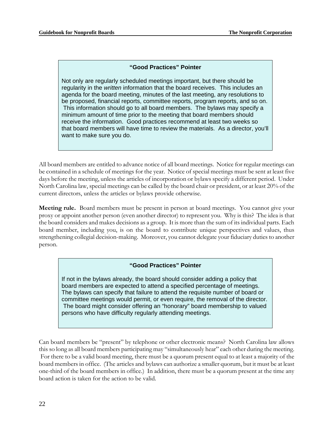## **"Good Practices" Pointer**

Not only are regularly scheduled meetings important, but there should be regularity in the *written* information that the board receives. This includes an agenda for the board meeting, minutes of the last meeting, any resolutions to be proposed, financial reports, committee reports, program reports, and so on. This information should go to all board members. The bylaws may specify a minimum amount of time prior to the meeting that board members should receive the information. Good practices recommend at least two weeks so that board members will have time to review the materials. As a director, you'll want to make sure you do.

All board members are entitled to advance notice of all board meetings. Notice for regular meetings can be contained in a schedule of meetings for the year. Notice of special meetings must be sent at least five days before the meeting, unless the articles of incorporation or bylaws specify a different period. Under North Carolina law, special meetings can be called by the board chair or president, or at least 20% of the current directors, unless the articles or bylaws provide otherwise.

**Meeting rule.** Board members must be present in person at board meetings. You cannot give your proxy or appoint another person (even another director) to represent you. Why is this? The idea is that the board considers and makes decisions as a group. It is more than the sum of its individual parts. Each board member, including you, is on the board to contribute unique perspectives and values, thus strengthening collegial decision-making. Moreover, you cannot delegate your fiduciary duties to another person.

#### **"Good Practices" Pointer**

If not in the bylaws already, the board should consider adding a policy that board members are expected to attend a specified percentage of meetings. The bylaws can specify that failure to attend the requisite number of board or committee meetings would permit, or even require, the removal of the director. The board might consider offering an "honorary" board membership to valued persons who have difficulty regularly attending meetings.

Can board members be "present" by telephone or other electronic means? North Carolina law allows this so long as all board members participating may "simultaneously hear" each other during the meeting. For there to be a valid board meeting, there must be a quorum present equal to at least a majority of the board members in office. (The articles and bylaws can authorize a smaller quorum, but it must be at least one-third of the board members in office.) In addition, there must be a quorum present at the time any board action is taken for the action to be valid.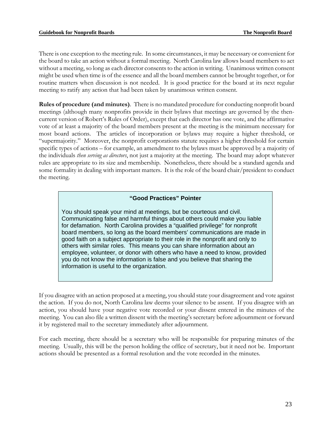There is one exception to the meeting rule. In some circumstances, it may be necessary or convenient for the board to take an action without a formal meeting. North Carolina law allows board members to act without a meeting, so long as each director consents to the action in writing. Unanimous written consent might be used when time is of the essence and all the board members cannot be brought together, or for routine matters when discussion is not needed. It is good practice for the board at its next regular meeting to ratify any action that had been taken by unanimous written consent.

**Rules of procedure (and minutes)**. There is no mandated procedure for conducting nonprofit board meetings (although many nonprofits provide in their bylaws that meetings are governed by the thencurrent version of Robert's Rules of Order), except that each director has one vote, and the affirmative vote of at least a majority of the board members present at the meeting is the minimum necessary for most board actions. The articles of incorporation or bylaws may require a higher threshold, or "supermajority." Moreover, the nonprofit corporations statute requires a higher threshold for certain specific types of actions – for example, an amendment to the bylaws must be approved by a majority of the individuals *then serving as directors*, not just a majority at the meeting. The board may adopt whatever rules are appropriate to its size and membership. Nonetheless, there should be a standard agenda and some formality in dealing with important matters. It is the role of the board chair/president to conduct the meeting.

#### **"Good Practices" Pointer**

You should speak your mind at meetings, but be courteous and civil. Communicating false and harmful things about others could make you liable for defamation. North Carolina provides a "qualified privilege" for nonprofit board members, so long as the board members' communications are made in good faith on a subject appropriate to their role in the nonprofit and only to others with similar roles. This means you can share information about an employee, volunteer, or donor with others who have a need to know, provided you do not know the information is false and you believe that sharing the information is useful to the organization.

If you disagree with an action proposed at a meeting, you should state your disagreement and vote against the action. If you do not, North Carolina law deems your silence to be assent. If you disagree with an action, you should have your negative vote recorded or your dissent entered in the minutes of the meeting. You can also file a written dissent with the meeting's secretary before adjournment or forward it by registered mail to the secretary immediately after adjournment.

For each meeting, there should be a secretary who will be responsible for preparing minutes of the meeting. Usually, this will be the person holding the office of secretary, but it need not be. Important actions should be presented as a formal resolution and the vote recorded in the minutes.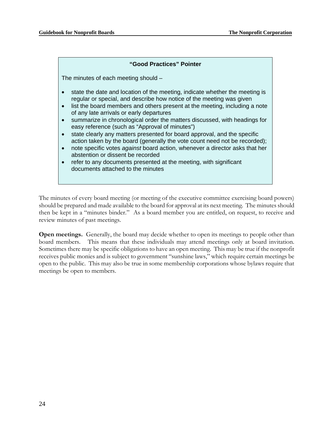## **"Good Practices" Pointer**  The minutes of each meeting should – state the date and location of the meeting, indicate whether the meeting is regular or special, and describe how notice of the meeting was given • list the board members and others present at the meeting, including a note of any late arrivals or early departures • summarize in chronological order the matters discussed, with headings for easy reference (such as "Approval of minutes") • state clearly any matters presented for board approval, and the specific action taken by the board (generally the vote count need not be recorded); • note specific votes *against* board action, whenever a director asks that her abstention or dissent be recorded • refer to any documents presented at the meeting, with significant documents attached to the minutes

The minutes of every board meeting (or meeting of the executive committee exercising board powers) should be prepared and made available to the board for approval at its next meeting. The minutes should then be kept in a "minutes binder." As a board member you are entitled, on request, to receive and review minutes of past meetings.

**Open meetings.** Generally, the board may decide whether to open its meetings to people other than board members. This means that these individuals may attend meetings only at board invitation. Sometimes there may be specific obligations to have an open meeting. This may be true if the nonprofit receives public monies and is subject to government "sunshine laws," which require certain meetings be open to the public. This may also be true in some membership corporations whose bylaws require that meetings be open to members.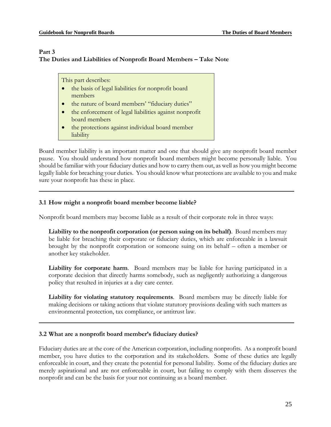## **Part 3 The Duties and Liabilities of Nonprofit Board Members – Take Note**

This part describes:

- the basis of legal liabilities for nonprofit board members
- the nature of board members' "fiduciary duties"
- the enforcement of legal liabilities against nonprofit board members
- the protections against individual board member liability

Board member liability is an important matter and one that should give any nonprofit board member pause. You should understand how nonprofit board members might become personally liable. You should be familiar with your fiduciary duties and how to carry them out, as well as how you might become legally liable for breaching your duties. You should know what protections are available to you and make sure your nonprofit has these in place.

## **3.1 How might a nonprofit board member become liable?**

Nonprofit board members may become liable as a result of their corporate role in three ways:

**Liability to the nonprofit corporation (or person suing on its behalf)**. Board members may be liable for breaching their corporate or fiduciary duties, which are enforceable in a lawsuit brought by the nonprofit corporation or someone suing on its behalf – often a member or another key stakeholder.

**Liability for corporate harm**. Board members may be liable for having participated in a corporate decision that directly harms somebody, such as negligently authorizing a dangerous policy that resulted in injuries at a day care center.

**Liability for violating statutory requirements**. Board members may be directly liable for making decisions or taking actions that violate statutory provisions dealing with such matters as environmental protection, tax compliance, or antitrust law.

## **3.2 What are a nonprofit board member's fiduciary duties?**

Fiduciary duties are at the core of the American corporation, including nonprofits. As a nonprofit board member, you have duties to the corporation and its stakeholders. Some of these duties are legally enforceable in court, and they create the potential for personal liability. Some of the fiduciary duties are merely aspirational and are not enforceable in court, but failing to comply with them disserves the nonprofit and can be the basis for your not continuing as a board member.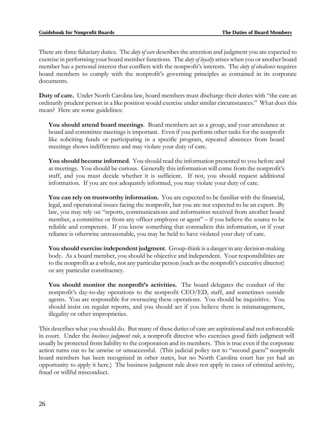There are three fiduciary duties. The *duty of care* describes the attention and judgment you are expected to exercise in performing your board member functions. The *duty of loyalty* arises when you or another board member has a personal interest that conflicts with the nonprofit's interests. The *duty of obedience* requires board members to comply with the nonprofit's governing principles as contained in its corporate documents.

**Duty of care.** Under North Carolina law, board members must discharge their duties with "the care an ordinarily prudent person in a like position would exercise under similar circumstances." What does this mean? Here are some guidelines:

**You should attend board meetings**. Board members act as a group, and your attendance at board and committee meetings is important. Even if you perform other tasks for the nonprofit like soliciting funds or participating in a specific program, repeated absences from board meetings shows indifference and may violate your duty of care.

**You should become informed**. You should read the information presented to you before and at meetings. You should be curious. Generally this information will come from the nonprofit's staff, and you must decide whether it is sufficient. If not, you should request additional information. If you are not adequately informed, you may violate your duty of care.

**You can rely on trustworthy information.** You are expected to be familiar with the financial, legal, and operational issues facing the nonprofit, but you are not expected to be an expert. By law, you may rely on "reports, communications and information received from another board member, a committee or from any officer employee or agent" – if you believe the source to be reliable and competent. If you know something that contradicts this information, or if your reliance is otherwise unreasonable, you may be held to have violated your duty of care.

**You should exercise independent judgment**. Group-think is a danger in any decision-making body. As a board member, you should be objective and independent. Your responsibilities are to the nonprofit as a whole, not any particular person (such as the nonprofit's executive director) or any particular constituency.

**You should monitor the nonprofit's activities.** The board delegates the conduct of the nonprofit's day-to-day operations to the nonprofit CEO/ED, staff, and sometimes outside agents. You are responsible for overseeing these operations. You should be inquisitive. You should insist on regular reports, and you should act if you believe there is mismanagement, illegality or other improprieties.

This describes what you should do. But many of these duties of care are aspirational and not enforceable in court. Under the *business judgment rule*, a nonprofit director who exercises good faith judgment will usually be protected from liability to the corporation and its members. This is true even if the corporate action turns out to be unwise or unsuccessful. (This judicial policy not to "second guess" nonprofit board members has been recognized in other states, but no North Carolina court has yet had an opportunity to apply it here.) The business judgment rule does not apply in cases of criminal activity, fraud or willful misconduct.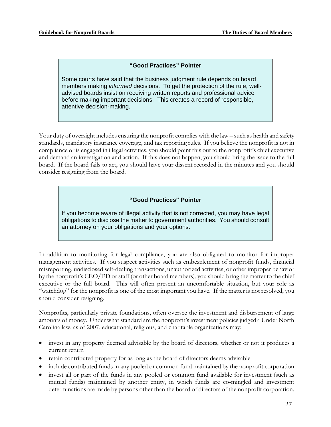### **"Good Practices" Pointer**

Some courts have said that the business judgment rule depends on board members making *informed* decisions. To get the protection of the rule, welladvised boards insist on receiving written reports and professional advice before making important decisions. This creates a record of responsible, attentive decision-making.

Your duty of oversight includes ensuring the nonprofit complies with the law – such as health and safety standards, mandatory insurance coverage, and tax reporting rules. If you believe the nonprofit is not in compliance or is engaged in illegal activities, you should point this out to the nonprofit's chief executive and demand an investigation and action. If this does not happen, you should bring the issue to the full board. If the board fails to act, you should have your dissent recorded in the minutes and you should consider resigning from the board.

#### **"Good Practices" Pointer**

If you become aware of illegal activity that is not corrected, you may have legal obligations to disclose the matter to government authorities. You should consult an attorney on your obligations and your options.

In addition to monitoring for legal compliance, you are also obligated to monitor for improper management activities. If you suspect activities such as embezzlement of nonprofit funds, financial misreporting, undisclosed self-dealing transactions, unauthorized activities, or other improper behavior by the nonprofit's CEO/ED or staff (or other board members), you should bring the matter to the chief executive or the full board. This will often present an uncomfortable situation, but your role as "watchdog" for the nonprofit is one of the most important you have. If the matter is not resolved, you should consider resigning.

Nonprofits, particularly private foundations, often oversee the investment and disbursement of large amounts of money. Under what standard are the nonprofit's investment policies judged? Under North Carolina law, as of 2007, educational, religious, and charitable organizations may:

- invest in any property deemed advisable by the board of directors, whether or not it produces a current return
- retain contributed property for as long as the board of directors deems advisable
- include contributed funds in any pooled or common fund maintained by the nonprofit corporation
- invest all or part of the funds in any pooled or common fund available for investment (such as mutual funds) maintained by another entity, in which funds are co-mingled and investment determinations are made by persons other than the board of directors of the nonprofit corporation.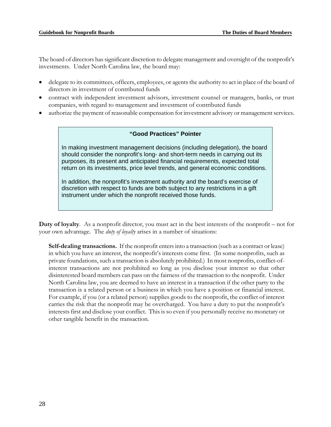The board of directors has significant discretion to delegate management and oversight of the nonprofit's investments. Under North Carolina law, the board may:

- delegate to its committees, officers, employees, or agents the authority to act in place of the board of directors in investment of contributed funds
- contract with independent investment advisors, investment counsel or managers, banks, or trust companies, with regard to management and investment of contributed funds
- authorize the payment of reasonable compensation for investment advisory or management services.

#### **"Good Practices" Pointer**

In making investment management decisions (including delegation), the board should consider the nonprofit's long- and short-term needs in carrying out its purposes, its present and anticipated financial requirements, expected total return on its investments, price level trends, and general economic conditions.

In addition, the nonprofit's investment authority and the board's exercise of discretion with respect to funds are both subject to any restrictions in a gift instrument under which the nonprofit received those funds.

**Duty of loyalty**. As a nonprofit director, you must act in the best interests of the nonprofit – not for your own advantage. The *duty of loyalty* arises in a number of situations:

**Self-dealing transactions.** If the nonprofit enters into a transaction (such as a contract or lease) in which you have an interest, the nonprofit's interests come first. (In some nonprofits, such as private foundations, such a transaction is absolutely prohibited.) In most nonprofits, conflict-ofinterest transactions are not prohibited so long as you disclose your interest so that other disinterested board members can pass on the fairness of the transaction to the nonprofit. Under North Carolina law, you are deemed to have an interest in a transaction if the other party to the transaction is a related person or a business in which you have a position or financial interest. For example, if you (or a related person) supplies goods to the nonprofit, the conflict of interest carries the risk that the nonprofit may be overcharged. You have a duty to put the nonprofit's interests first and disclose your conflict. This is so even if you personally receive no monetary or other tangible benefit in the transaction.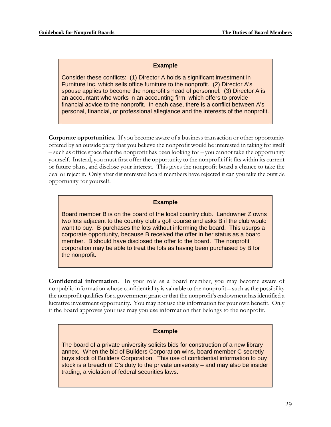#### **Example**

Consider these conflicts: (1) Director A holds a significant investment in Furniture Inc. which sells office furniture to the nonprofit. (2) Director A's spouse applies to become the nonprofit's head of personnel. (3) Director A is an accountant who works in an accounting firm, which offers to provide financial advice to the nonprofit. In each case, there is a conflict between A's personal, financial, or professional allegiance and the interests of the nonprofit.

**Corporate opportunities**. If you become aware of a business transaction or other opportunity offered by an outside party that you believe the nonprofit would be interested in taking for itself – such as office space that the nonprofit has been looking for – you cannot take the opportunity yourself. Instead, you must first offer the opportunity to the nonprofit if it fits within its current or future plans, and disclose your interest. This gives the nonprofit board a chance to take the deal or reject it. Only after disinterested board members have rejected it can you take the outside opportunity for yourself.

#### **Example**

Board member B is on the board of the local country club. Landowner Z owns two lots adjacent to the country club's golf course and asks B if the club would want to buy. B purchases the lots without informing the board. This usurps a corporate opportunity, because B received the offer in her status as a board member. B should have disclosed the offer to the board. The nonprofit corporation may be able to treat the lots as having been purchased by B for the nonprofit.

**Confidential information**. In your role as a board member, you may become aware of nonpublic information whose confidentiality is valuable to the nonprofit – such as the possibility the nonprofit qualifies for a government grant or that the nonprofit's endowment has identified a lucrative investment opportunity. You may not use this information for your own benefit. Only if the board approves your use may you use information that belongs to the nonprofit.

#### **Example**

The board of a private university solicits bids for construction of a new library annex. When the bid of Builders Corporation wins, board member C secretly buys stock of Builders Corporation. This use of confidential information to buy stock is a breach of C's duty to the private university – and may also be insider trading, a violation of federal securities laws.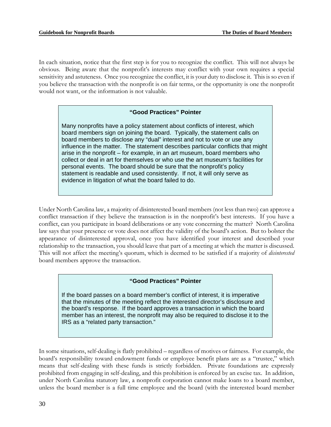In each situation, notice that the first step is for you to recognize the conflict. This will not always be obvious. Being aware that the nonprofit's interests may conflict with your own requires a special sensitivity and astuteness. Once you recognize the conflict, it is your duty to disclose it. This is so even if you believe the transaction with the nonprofit is on fair terms, or the opportunity is one the nonprofit would not want, or the information is not valuable.

## **"Good Practices" Pointer**

Many nonprofits have a policy statement about conflicts of interest, which board members sign on joining the board. Typically, the statement calls on board members to disclose any "dual" interest and not to vote or use any influence in the matter. The statement describes particular conflicts that might arise in the nonprofit – for example, in an art museum, board members who collect or deal in art for themselves or who use the art museum's facilities for personal events. The board should be sure that the nonprofit's policy statement is readable and used consistently. If not, it will only serve as evidence in litigation of what the board failed to do.

Under North Carolina law, a majority of disinterested board members (not less than two) can approve a conflict transaction if they believe the transaction is in the nonprofit's best interests. If you have a conflict, can you participate in board deliberations or any vote concerning the matter? North Carolina law says that your presence or vote does not affect the validity of the board's action. But to bolster the appearance of disinterested approval, once you have identified your interest and described your relationship to the transaction, you should leave that part of a meeting at which the matter is discussed. This will not affect the meeting's quorum, which is deemed to be satisfied if a majority of *disinterested* board members approve the transaction.

#### **"Good Practices" Pointer**

If the board passes on a board member's conflict of interest, it is imperative that the minutes of the meeting reflect the interested director's disclosure and the board's response. If the board approves a transaction in which the board member has an interest, the nonprofit may also be required to disclose it to the IRS as a "related party transaction."

In some situations, self-dealing is flatly prohibited – regardless of motives or fairness. For example, the board's responsibility toward endowment funds or employee benefit plans are as a "trustee," which means that self-dealing with these funds is strictly forbidden. Private foundations are expressly prohibited from engaging in self-dealing, and this prohibition is enforced by an excise tax. In addition, under North Carolina statutory law, a nonprofit corporation cannot make loans to a board member, unless the board member is a full time employee and the board (with the interested board member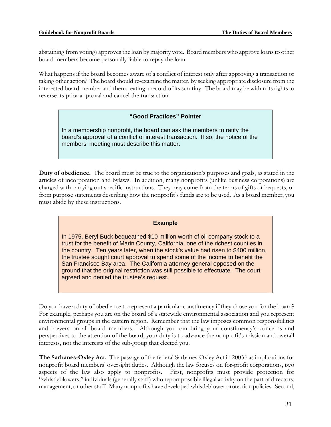abstaining from voting) approves the loan by majority vote. Board members who approve loans to other board members become personally liable to repay the loan.

What happens if the board becomes aware of a conflict of interest only after approving a transaction or taking other action? The board should re-examine the matter, by seeking appropriate disclosure from the interested board member and then creating a record of its scrutiny. The board may be within its rights to reverse its prior approval and cancel the transaction.

#### **"Good Practices" Pointer**

In a membership nonprofit, the board can ask the members to ratify the board's approval of a conflict of interest transaction. If so, the notice of the members' meeting must describe this matter.

**Duty of obedience.** The board must be true to the organization's purposes and goals, as stated in the articles of incorporation and bylaws. In addition, many nonprofits (unlike business corporations) are charged with carrying out specific instructions. They may come from the terms of gifts or bequests, or from purpose statements describing how the nonprofit's funds are to be used. As a board member, you must abide by these instructions.

#### **Example**

In 1975, Beryl Buck bequeathed \$10 million worth of oil company stock to a trust for the benefit of Marin County, California, one of the richest counties in the country. Ten years later, when the stock's value had risen to \$400 million, the trustee sought court approval to spend some of the income to benefit the San Francisco Bay area. The California attorney general opposed on the ground that the original restriction was still possible to effectuate. The court agreed and denied the trustee's request.

Do you have a duty of obedience to represent a particular constituency if they chose you for the board? For example, perhaps you are on the board of a statewide environmental association and you represent environmental groups in the eastern region. Remember that the law imposes common responsibilities and powers on all board members. Although you can bring your constituency's concerns and perspectives to the attention of the board, your duty is to advance the nonprofit's mission and overall interests, not the interests of the sub-group that elected you.

**The Sarbanes-Oxley Act.** The passage of the federal Sarbanes-Oxley Act in 2003 has implications for nonprofit board members' oversight duties. Although the law focuses on for-profit corporations, two aspects of the law also apply to nonprofits. First, nonprofits must provide protection for "whistleblowers," individuals (generally staff) who report possible illegal activity on the part of directors, management, or other staff. Many nonprofits have developed whistleblower protection policies. Second,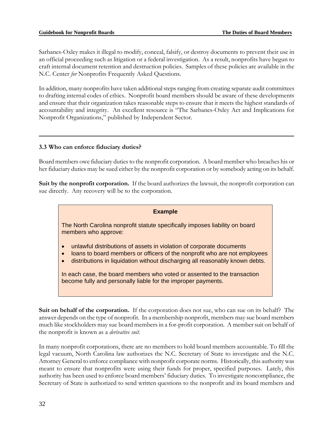Sarbanes-Oxley makes it illegal to modify, conceal, falsify, or destroy documents to prevent their use in an official proceeding such as litigation or a federal investigation. As a result, nonprofits have begun to craft internal document retention and destruction policies. Samples of these policies are available in the N.C. Center *for* Nonprofits Frequently Asked Questions.

In addition, many nonprofits have taken additional steps ranging from creating separate audit committees to drafting internal codes of ethics. Nonprofit board members should be aware of these developments and ensure that their organization takes reasonable steps to ensure that it meets the highest standards of accountability and integrity. An excellent resource is "The Sarbanes-Oxley Act and Implications for Nonprofit Organizations," published by Independent Sector.

## **3.3 Who can enforce fiduciary duties?**

Board members owe fiduciary duties to the nonprofit corporation. A board member who breaches his or her fiduciary duties may be sued either by the nonprofit corporation or by somebody acting on its behalf.

**Suit by the nonprofit corporation.** If the board authorizes the lawsuit, the nonprofit corporation can sue directly. Any recovery will be to the corporation.

#### **Example**

The North Carolina nonprofit statute specifically imposes liability on board members who approve:

- unlawful distributions of assets in violation of corporate documents
- loans to board members or officers of the nonprofit who are not employees
- distributions in liquidation without discharging all reasonably known debts.

In each case, the board members who voted or assented to the transaction become fully and personally liable for the improper payments.

**Suit on behalf of the corporation.** If the corporation does not sue, who can sue on its behalf? The answer depends on the type of nonprofit. In a membership nonprofit, members may sue board members much like stockholders may sue board members in a for-profit corporation. A member suit on behalf of the nonprofit is known as a *derivative suit.* 

In many nonprofit corporations, there are no members to hold board members accountable. To fill the legal vacuum, North Carolina law authorizes the N.C. Secretary of State to investigate and the N.C. Attorney General to enforce compliance with nonprofit corporate norms. Historically, this authority was meant to ensure that nonprofits were using their funds for proper, specified purposes. Lately, this authority has been used to enforce board members' fiduciary duties. To investigate noncompliance, the Secretary of State is authorized to send written questions to the nonprofit and its board members and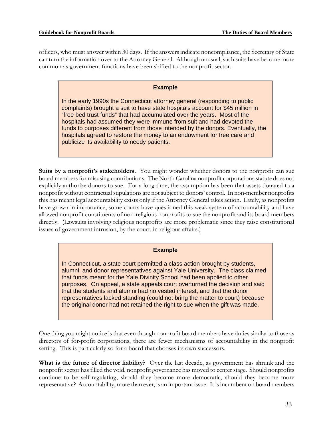officers, who must answer within 30 days. If the answers indicate noncompliance, the Secretary of State can turn the information over to the Attorney General. Although unusual, such suits have become more common as government functions have been shifted to the nonprofit sector.

#### **Example**

In the early 1990s the Connecticut attorney general (responding to public complaints) brought a suit to have state hospitals account for \$45 million in "free bed trust funds" that had accumulated over the years. Most of the hospitals had assumed they were immune from suit and had devoted the funds to purposes different from those intended by the donors. Eventually, the hospitals agreed to restore the money to an endowment for free care and publicize its availability to needy patients.

**Suits by a nonprofit's stakeholders.** You might wonder whether donors to the nonprofit can sue board members for misusing contributions. The North Carolina nonprofit corporations statute does not explicitly authorize donors to sue. For a long time, the assumption has been that assets donated to a nonprofit without contractual stipulations are not subject to donors' control. In non-member nonprofits this has meant legal accountability exists only if the Attorney General takes action. Lately, as nonprofits have grown in importance, some courts have questioned this weak system of accountability and have allowed nonprofit constituents of non-religious nonprofits to sue the nonprofit and its board members directly. (Lawsuits involving religious nonprofits are more problematic since they raise constitutional issues of government intrusion, by the court, in religious affairs.)

#### **Example**

In Connecticut, a state court permitted a class action brought by students, alumni, and donor representatives against Yale University. The class claimed that funds meant for the Yale Divinity School had been applied to other purposes. On appeal, a state appeals court overturned the decision and said that the students and alumni had no vested interest, and that the donor representatives lacked standing (could not bring the matter to court) because the original donor had not retained the right to sue when the gift was made.

One thing you might notice is that even though nonprofit board members have duties similar to those as directors of for-profit corporations, there are fewer mechanisms of accountability in the nonprofit setting. This is particularly so for a board that chooses its own successors.

**What is the future of director liability?** Over the last decade, as government has shrunk and the nonprofit sector has filled the void, nonprofit governance has moved to center stage. Should nonprofits continue to be self-regulating, should they become more democratic, should they become more representative? Accountability, more than ever, is an important issue. It is incumbent on board members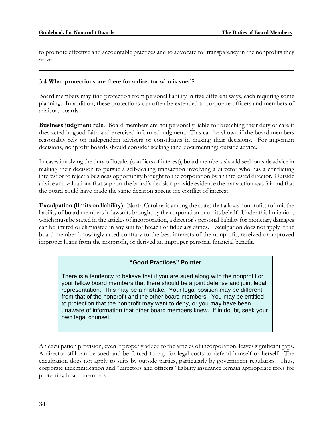to promote effective and accountable practices and to advocate for transparency in the nonprofits they serve.

## **3.4 What protections are there for a director who is sued?**

Board members may find protection from personal liability in five different ways, each requiring some planning. In addition, these protections can often be extended to corporate officers and members of advisory boards.

**Business judgment rule**. Board members are not personally liable for breaching their duty of care if they acted in good faith and exercised informed judgment. This can be shown if the board members reasonably rely on independent advisers or consultants in making their decisions. For important decisions, nonprofit boards should consider seeking (and documenting) outside advice.

In cases involving the duty of loyalty (conflicts of interest), board members should seek outside advice in making their decision to pursue a self-dealing transaction involving a director who has a conflicting interest or to reject a business opportunity brought to the corporation by an interested director. Outside advice and valuations that support the board's decision provide evidence the transaction was fair and that the board could have made the same decision absent the conflict of interest.

**Exculpation (limits on liability).** North Carolina is among the states that allows nonprofits to limit the liability of board members in lawsuits brought by the corporation or on its behalf. Under this limitation, which must be stated in the articles of incorporation, a director's personal liability for monetary damages can be limited or eliminated in any suit for breach of fiduciary duties. Exculpation does not apply if the board member knowingly acted contrary to the best interests of the nonprofit, received or approved improper loans from the nonprofit, or derived an improper personal financial benefit.

## **"Good Practices" Pointer**

There is a tendency to believe that if you are sued along with the nonprofit or your fellow board members that there should be a joint defense and joint legal representation. This may be a mistake. Your legal position may be different from that of the nonprofit and the other board members. You may be entitled to protection that the nonprofit may want to deny, or you may have been unaware of information that other board members knew. If in doubt, seek your own legal counsel.

An exculpation provision, even if properly added to the articles of incorporation, leaves significant gaps. A director still can be sued and be forced to pay for legal costs to defend himself or herself. The exculpation does not apply to suits by outside parties, particularly by government regulators. Thus, corporate indemnification and "directors and officers" liability insurance remain appropriate tools for protecting board members.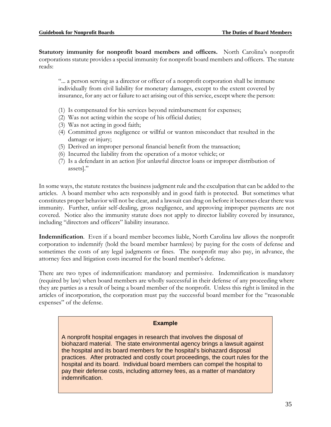**Statutory immunity for nonprofit board members and officers.** North Carolina's nonprofit corporations statute provides a special immunity for nonprofit board members and officers. The statute reads:

"... a person serving as a director or officer of a nonprofit corporation shall be immune individually from civil liability for monetary damages, except to the extent covered by insurance, for any act or failure to act arising out of this service, except where the person:

- (1) Is compensated for his services beyond reimbursement for expenses;
- (2) Was not acting within the scope of his official duties;
- (3) Was not acting in good faith;
- (4) Committed gross negligence or willful or wanton misconduct that resulted in the damage or injury;
- (5) Derived an improper personal financial benefit from the transaction;
- (6) Incurred the liability from the operation of a motor vehicle; or
- (7) Is a defendant in an action [for unlawful director loans or improper distribution of assets]."

In some ways, the statute restates the business judgment rule and the exculpation that can be added to the articles. A board member who acts responsibly and in good faith is protected. But sometimes what constitutes proper behavior will not be clear, and a lawsuit can drag on before it becomes clear there was immunity. Further, unfair self-dealing, gross negligence, and approving improper payments are not covered. Notice also the immunity statute does not apply to director liability covered by insurance, including "directors and officers" liability insurance.

**Indemnification**. Even if a board member becomes liable, North Carolina law allows the nonprofit corporation to indemnify (hold the board member harmless) by paying for the costs of defense and sometimes the costs of any legal judgments or fines. The nonprofit may also pay, in advance, the attorney fees and litigation costs incurred for the board member's defense.

There are two types of indemnification: mandatory and permissive. Indemnification is mandatory (required by law) when board members are wholly successful in their defense of any proceeding where they are parties as a result of being a board member of the nonprofit. Unless this right is limited in the articles of incorporation, the corporation must pay the successful board member for the "reasonable expenses" of the defense.

#### **Example**

A nonprofit hospital engages in research that involves the disposal of biohazard material. The state environmental agency brings a lawsuit against the hospital and its board members for the hospital's biohazard disposal practices. After protracted and costly court proceedings, the court rules for the hospital and its board. Individual board members can compel the hospital to pay their defense costs, including attorney fees, as a matter of mandatory indemnification.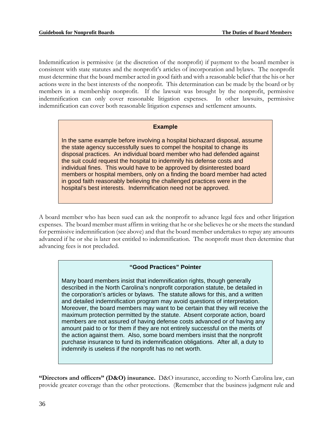Indemnification is permissive (at the discretion of the nonprofit) if payment to the board member is consistent with state statutes and the nonprofit's articles of incorporation and bylaws. The nonprofit must determine that the board member acted in good faith and with a reasonable belief that the his or her actions were in the best interests of the nonprofit. This determination can be made by the board or by members in a membership nonprofit. If the lawsuit was brought by the nonprofit, permissive indemnification can only cover reasonable litigation expenses. In other lawsuits, permissive indemnification can cover both reasonable litigation expenses and settlement amounts.

#### **Example**

In the same example before involving a hospital biohazard disposal, assume the state agency successfully sues to compel the hospital to change its disposal practices. An individual board member who had defended against the suit could request the hospital to indemnify his defense costs and individual fines. This would have to be approved by disinterested board members or hospital members, only on a finding the board member had acted in good faith reasonably believing the challenged practices were in the hospital's best interests. Indemnification need not be approved.

A board member who has been sued can ask the nonprofit to advance legal fees and other litigation expenses. The board member must affirm in writing that he or she believes he or she meets the standard for permissive indemnification (see above) and that the board member undertakes to repay any amounts advanced if he or she is later not entitled to indemnification. The nonprofit must then determine that advancing fees is not precluded.

#### **"Good Practices" Pointer**

Many board members insist that indemnification rights, though generally described in the North Carolina's nonprofit corporation statute, be detailed in the corporation's articles or bylaws. The statute allows for this, and a written and detailed indemnification program may avoid questions of interpretation. Moreover, the board members may want to be certain that they will receive the maximum protection permitted by the statute. Absent corporate action, board members are not assured of having defense costs advanced or of having any amount paid to or for them if they are not entirely successful on the merits of the action against them. Also, some board members insist that the nonprofit purchase insurance to fund its indemnification obligations. After all, a duty to indemnify is useless if the nonprofit has no net worth.

**"Directors and officers" (D&O) insurance.** D&O insurance, according to North Carolina law, can provide greater coverage than the other protections. (Remember that the business judgment rule and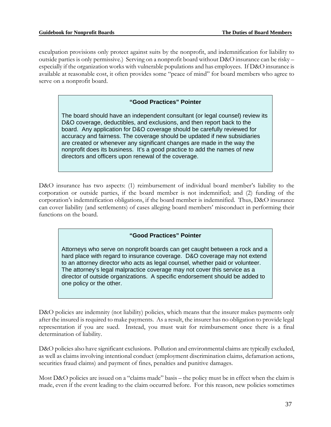exculpation provisions only protect against suits by the nonprofit, and indemnification for liability to outside parties is only permissive.) Serving on a nonprofit board without D&O insurance can be risky – especially if the organization works with vulnerable populations and has employees. If D&O insurance is available at reasonable cost, it often provides some "peace of mind" for board members who agree to serve on a nonprofit board.

## **"Good Practices" Pointer**

The board should have an independent consultant (or legal counsel) review its D&O coverage, deductibles, and exclusions, and then report back to the board. Any application for D&O coverage should be carefully reviewed for accuracy and fairness. The coverage should be updated if new subsidiaries are created or whenever any significant changes are made in the way the nonprofit does its business. It's a good practice to add the names of new directors and officers upon renewal of the coverage.

D&O insurance has two aspects: (1) reimbursement of individual board member's liability to the corporation or outside parties, if the board member is not indemnified; and (2) funding of the corporation's indemnification obligations, if the board member is indemnified. Thus, D&O insurance can cover liability (and settlements) of cases alleging board members' misconduct in performing their functions on the board.

#### **"Good Practices" Pointer**

Attorneys who serve on nonprofit boards can get caught between a rock and a hard place with regard to insurance coverage. D&O coverage may not extend to an attorney director who acts as legal counsel, whether paid or volunteer. The attorney's legal malpractice coverage may not cover this service as a director of outside organizations. A specific endorsement should be added to one policy or the other.

D&O policies are indemnity (not liability) policies, which means that the insurer makes payments only after the insured is required to make payments. As a result, the insurer has no obligation to provide legal representation if you are sued. Instead, you must wait for reimbursement once there is a final determination of liability.

D&O policies also have significant exclusions. Pollution and environmental claims are typically excluded, as well as claims involving intentional conduct (employment discrimination claims, defamation actions, securities fraud claims) and payment of fines, penalties and punitive damages.

Most D&O policies are issued on a "claims made" basis – the policy must be in effect when the claim is made, even if the event leading to the claim occurred before. For this reason, new policies sometimes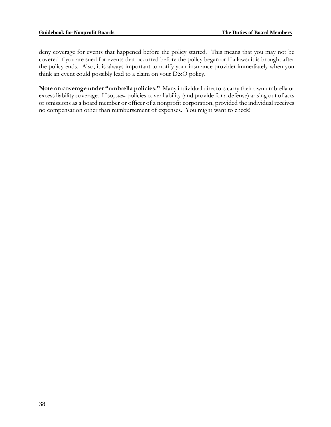deny coverage for events that happened before the policy started. This means that you may not be covered if you are sued for events that occurred before the policy began or if a lawsuit is brought after the policy ends. Also, it is always important to notify your insurance provider immediately when you think an event could possibly lead to a claim on your D&O policy.

**Note on coverage under "umbrella policies."** Many individual directors carry their own umbrella or excess liability coverage. If so, *some* policies cover liability (and provide for a defense) arising out of acts or omissions as a board member or officer of a nonprofit corporation, provided the individual receives no compensation other than reimbursement of expenses. You might want to check!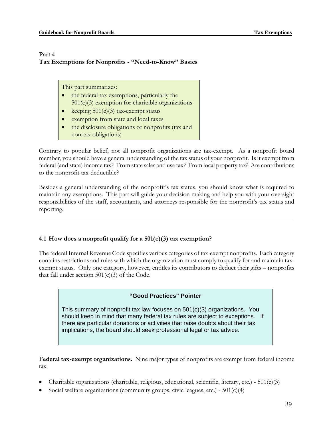### **Part 4 Tax Exemptions for Nonprofits - "Need-to-Know" Basics**

This part summarizes:

- the federal tax exemptions, particularly the  $501(c)(3)$  exemption for charitable organizations
- keeping  $501(c)(3)$  tax-exempt status
- exemption from state and local taxes
- the disclosure obligations of nonprofits (tax and non-tax obligations)

Contrary to popular belief, not all nonprofit organizations are tax-exempt. As a nonprofit board member, you should have a general understanding of the tax status of your nonprofit. Is it exempt from federal (and state) income tax? From state sales and use tax? From local property tax? Are contributions to the nonprofit tax-deductible?

Besides a general understanding of the nonprofit's tax status, you should know what is required to maintain any exemptions. This part will guide your decision making and help you with your oversight responsibilities of the staff, accountants, and attorneys responsible for the nonprofit's tax status and reporting.

## **4.1 How does a nonprofit qualify for a 501(c)(3) tax exemption?**

The federal Internal Revenue Code specifies various categories of tax-exempt nonprofits. Each category contains restrictions and rules with which the organization must comply to qualify for and maintain taxexempt status. Only one category, however, entitles its contributors to deduct their gifts – nonprofits that fall under section  $501(c)(3)$  of the Code.

#### **"Good Practices" Pointer**

This summary of nonprofit tax law focuses on 501(c)(3) organizations. You should keep in mind that many federal tax rules are subject to exceptions. If there are particular donations or activities that raise doubts about their tax implications, the board should seek professional legal or tax advice.

**Federal tax-exempt organizations.** Nine major types of nonprofits are exempt from federal income tax:

- Charitable organizations (charitable, religious, educational, scientific, literary, etc.)  $501(c)(3)$
- Social welfare organizations (community groups, civic leagues, etc.) 501(c)(4)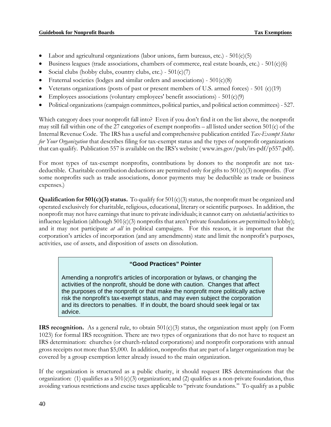- Labor and agricultural organizations (labor unions, farm bureaus, etc.)  $501(c)(5)$
- Business leagues (trade associations, chambers of commerce, real estate boards, etc.) 501(c)(6)
- Social clubs (hobby clubs, country clubs, etc.)  $501(c)(7)$
- Fraternal societies (lodges and similar orders and associations)  $501(c)(8)$
- Veterans organizations (posts of past or present members of U.S. armed forces) 501 (c)(19)
- Employees associations (voluntary employees' benefit associations)  $501(c)(9)$
- Political organizations (campaign committees, political parties, and political action committees) 527.

Which category does your nonprofit fall into? Even if you don't find it on the list above, the nonprofit may still fall within one of the 27 categories of exempt nonprofits – all listed under section 501(c) of the Internal Revenue Code. The IRS has a useful and comprehensive publication entitled *Tax-Exempt Status for Your Organization* that describes filing for tax-exempt status and the types of nonprofit organizations that can qualify. Publication 557 is available on the IRS's website ( www.irs.gov/pub/irs-pdf/p557.pdf).

For most types of tax-exempt nonprofits, contributions by donors to the nonprofit are not taxdeductible. Charitable contribution deductions are permitted only for gifts to  $501(c)(3)$  nonprofits. (For some nonprofits such as trade associations, donor payments may be deductible as trade or business expenses.)

**Qualification for 501(c)(3) status.** To qualify for 501(c)(3) status, the nonprofit must be organized and operated exclusively for charitable, religious, educational, literary or scientific purposes. In addition, the nonprofit may not have earnings that inure to private individuals; it cannot carry on *substantial* activities to influence legislation (although 501(c)(3) nonprofits that aren't private foundations *are* permitted to lobby); and it may not participate *at all* in political campaigns. For this reason, it is important that the corporation's articles of incorporation (and any amendments) state and limit the nonprofit's purposes, activities, use of assets, and disposition of assets on dissolution.

#### **"Good Practices" Pointer**

Amending a nonprofit's articles of incorporation or bylaws, or changing the activities of the nonprofit, should be done with caution. Changes that affect the purposes of the nonprofit or that make the nonprofit more politically active risk the nonprofit's tax-exempt status, and may even subject the corporation and its directors to penalties. If in doubt, the board should seek legal or tax advice.

**IRS recognition.** As a general rule, to obtain  $501(c)(3)$  status, the organization must apply (on Form 1023) for formal IRS recognition. There are two types of organizations that do not have to request an IRS determination: churches (or church-related corporations) and nonprofit corporations with annual gross receipts not more than \$5,000. In addition, nonprofits that are part of a larger organization may be covered by a group exemption letter already issued to the main organization.

If the organization is structured as a public charity, it should request IRS determinations that the organization: (1) qualifies as a  $501(c)(3)$  organization; and (2) qualifies as a non-private foundation, thus avoiding various restrictions and excise taxes applicable to "private foundations." To qualify as a public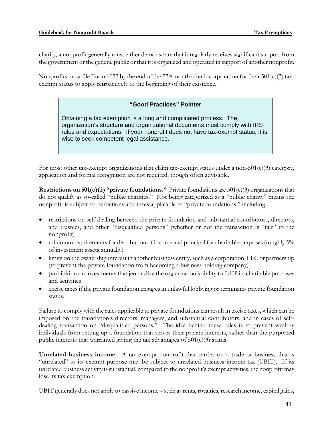charity, a nonprofit generally must either demonstrate that it regularly receives significant support from the government or the general public or that it is organized and operated in support of another nonprofit.

Nonprofits must file Form 1023 by the end of the  $27<sup>th</sup>$  month after incorporation for their  $501(c)(3)$  taxexempt status to apply retroactively to the beginning of their existence.

## **"Good Practices" Pointer**

Obtaining a tax exemption is a long and complicated process. The organization's structure and organizational documents must comply with IRS rules and expectations. If your nonprofit does not have tax-exempt status, it is wise to seek competent legal assistance.

For most other tax-exempt organizations that claim tax-exempt status under a non-501(c)(3) category, application and formal recognition are not required, though often advisable.

**Restrictions on 501(c)(3) "private foundations."** Private foundations are 501(c)(3) organizations that do not qualify as so-called "public charities." Not being categorized as a "public charity" means the nonprofit is subject to restrictions and taxes applicable to "private foundations," including –

- restrictions on self-dealing between the private foundation and substantial contributors, directors, and trustees, and other "disqualified persons" (whether or not the transaction is "fair" to the nonprofit)
- minimum requirements for distribution of income and principal for charitable purposes (roughly 5% of investment assets annually)
- limits on the ownership interest in another business entity, such as a corporation, LLC or partnership (to prevent the private foundation from becoming a business holding company)
- prohibition on investments that jeopardize the organization's ability to fulfill its charitable purposes and activities
- excise taxes if the private foundation engages in unlawful lobbying or terminates private foundation status.

Failure to comply with the rules applicable to private foundations can result in excise taxes, which can be imposed on the foundation's directors, managers, and substantial contributors, and in cases of selfdealing transaction on "disqualified persons." The idea behind these rules is to prevent wealthy individuals from setting up a foundation that serves their private interests, rather than the purported public interests that warranted giving the tax advantages of  $501(c)(3)$  status.

**Unrelated business income**. A tax-exempt nonprofit that carries on a trade or business that is "unrelated" to its exempt purpose may be subject to unrelated business income tax (UBIT). If its unrelated business activity is substantial, compared to the nonprofit's exempt activities, the nonprofit may lose its tax exemption.

UBIT generally does not apply to passive income – such as rents, royalties, research income, capital gains,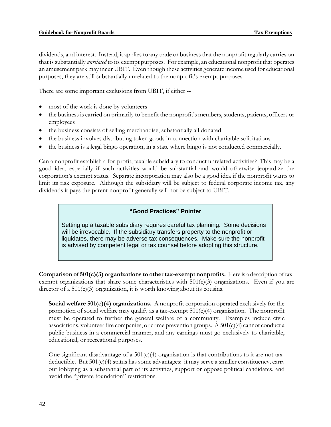dividends, and interest. Instead, it applies to any trade or business that the nonprofit regularly carries on that is substantially *unrelated* to its exempt purposes. For example, an educational nonprofit that operates an amusement park may incur UBIT. Even though these activities generate income used for educational purposes, they are still substantially unrelated to the nonprofit's exempt purposes.

There are some important exclusions from UBIT, if either --

- most of the work is done by volunteers
- the business is carried on primarily to benefit the nonprofit's members, students, patients, officers or employees
- the business consists of selling merchandise, substantially all donated
- the business involves distributing token goods in connection with charitable solicitations
- the business is a legal bingo operation, in a state where bingo is not conducted commercially.

Can a nonprofit establish a for-profit, taxable subsidiary to conduct unrelated activities? This may be a good idea, especially if such activities would be substantial and would otherwise jeopardize the corporation's exempt status. Separate incorporation may also be a good idea if the nonprofit wants to limit its risk exposure. Although the subsidiary will be subject to federal corporate income tax, any dividends it pays the parent nonprofit generally will not be subject to UBIT.

#### **"Good Practices" Pointer**

Setting up a taxable subsidiary requires careful tax planning. Some decisions will be irrevocable. If the subsidiary transfers property to the nonprofit or liquidates, there may be adverse tax consequences. Make sure the nonprofit is advised by competent legal or tax counsel before adopting this structure.

**Comparison of 501(c)(3) organizations to other tax-exempt nonprofits.** Here is a description of taxexempt organizations that share some characteristics with  $501(c)(3)$  organizations. Even if you are director of a  $501(c)(3)$  organization, it is worth knowing about its cousins.

**Social welfare 501(c)(4) organizations.** A nonprofit corporation operated exclusively for the promotion of social welfare may qualify as a tax-exempt  $501(c)(4)$  organization. The nonprofit must be operated to further the general welfare of a community. Examples include civic associations, volunteer fire companies, or crime prevention groups. A  $501(c)(4)$  cannot conduct a public business in a commercial manner, and any earnings must go exclusively to charitable, educational, or recreational purposes.

One significant disadvantage of a  $501(c)(4)$  organization is that contributions to it are not taxdeductible. But 501(c)(4) status has some advantages: it may serve a smaller constituency, carry out lobbying as a substantial part of its activities, support or oppose political candidates, and avoid the "private foundation" restrictions.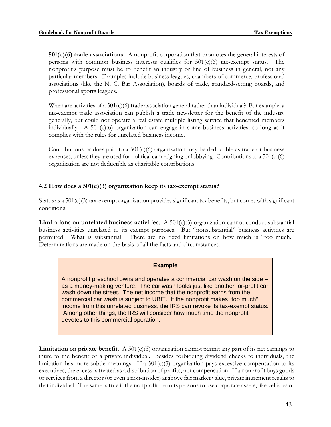**501(c)(6) trade associations.** A nonprofit corporation that promotes the general interests of persons with common business interests qualifies for 501(c)(6) tax-exempt status. The nonprofit's purpose must be to benefit an industry or line of business in general, not any particular members. Examples include business leagues, chambers of commerce, professional associations (like the N. C. Bar Association), boards of trade, standard-setting boards, and professional sports leagues.

When are activities of a  $501(c)(6)$  trade association general rather than individual? For example, a tax-exempt trade association can publish a trade newsletter for the benefit of the industry generally, but could not operate a real estate multiple listing service that benefited members individually. A 501(c)(6) organization can engage in some business activities, so long as it complies with the rules for unrelated business income.

Contributions or dues paid to a  $501(c)(6)$  organization may be deductible as trade or business expenses, unless they are used for political campaigning or lobbying. Contributions to a  $501(c)(6)$ organization are not deductible as charitable contributions.

#### **4.2 How does a 501(c)(3) organization keep its tax-exempt status?**

Status as a  $501(c)(3)$  tax-exempt organization provides significant tax benefits, but comes with significant conditions.

**Limitations on unrelated business activities**. A 501(c)(3) organization cannot conduct substantial business activities unrelated to its exempt purposes. But "nonsubstantial" business activities are permitted. What is substantial? There are no fixed limitations on how much is "too much." Determinations are made on the basis of all the facts and circumstances.

#### **Example**

A nonprofit preschool owns and operates a commercial car wash on the side – as a money-making venture. The car wash looks just like another for-profit car wash down the street. The net income that the nonprofit earns from the commercial car wash is subject to UBIT. If the nonprofit makes "too much" income from this unrelated business, the IRS can revoke its tax-exempt status. Among other things, the IRS will consider how much time the nonprofit devotes to this commercial operation.

**Limitation on private benefit.** A 501(c)(3) organization cannot permit any part of its net earnings to inure to the benefit of a private individual. Besides forbidding dividend checks to individuals, the limitation has more subtle meanings. If a  $501(c)(3)$  organization pays excessive compensation to its executives, the excess is treated as a distribution of profits, not compensation. If a nonprofit buys goods or services from a director (or even a non-insider) at above fair market value, private inurement results to that individual. The same is true if the nonprofit permits persons to use corporate assets, like vehicles or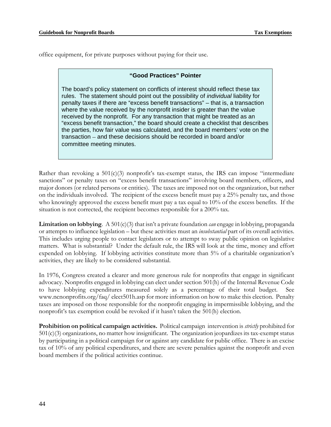office equipment, for private purposes without paying for their use.

#### **"Good Practices" Pointer**

The board's policy statement on conflicts of interest should reflect these tax rules. The statement should point out the possibility of *individual* liability for penalty taxes if there are "excess benefit transactions" – that is, a transaction where the value received by the nonprofit insider is greater than the value received by the nonprofit. For any transaction that might be treated as an "excess benefit transaction," the board should create a checklist that describes the parties, how fair value was calculated, and the board members' vote on the transaction – and these decisions should be recorded in board and/or committee meeting minutes.

Rather than revoking a  $501(c)(3)$  nonprofit's tax-exempt status, the IRS can impose "intermediate" sanctions" or penalty taxes on "excess benefit transactions" involving board members, officers, and major donors (or related persons or entities). The taxes are imposed not on the organization, but rather on the individuals involved. The recipient of the excess benefit must pay a 25% penalty tax, and those who knowingly approved the excess benefit must pay a tax equal to 10% of the excess benefits. If the situation is not corrected, the recipient becomes responsible for a 200% tax.

**Limitation on lobbying**. A 501(c)(3) that isn't a private foundation *can* engage in lobbying, propaganda or attempts to influence legislation – but these activities must an *insubstantial* part of its overall activities. This includes urging people to contact legislators or to attempt to sway public opinion on legislative matters. What is substantial? Under the default rule, the IRS will look at the time, money and effort expended on lobbying. If lobbying activities constitute more than 5% of a charitable organization's activities, they are likely to be considered substantial.

In 1976, Congress created a clearer and more generous rule for nonprofits that engage in significant advocacy. Nonprofits engaged in lobbying can elect under section 501(h) of the Internal Revenue Code to have lobbying expenditures measured solely as a percentage of their total budget. See www.ncnonprofits.org/faq/ elect501h.asp for more information on how to make this election. Penalty taxes are imposed on those responsible for the nonprofit engaging in impermissible lobbying, and the nonprofit's tax exemption could be revoked if it hasn't taken the 501(h) election.

**Prohibition on political campaign activities.** Political campaign intervention is *strictly* prohibited for 501(c)(3) organizations, no matter how insignificant. The organization jeopardizes its tax-exempt status by participating in a political campaign for or against any candidate for public office. There is an excise tax of 10% of any political expenditures, and there are severe penalties against the nonprofit and even board members if the political activities continue.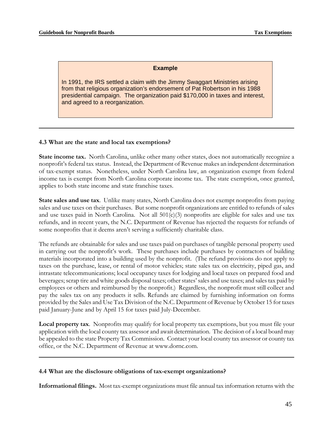#### **Example**

In 1991, the IRS settled a claim with the Jimmy Swaggart Ministries arising from that religious organization's endorsement of Pat Robertson in his 1988 presidential campaign. The organization paid \$170,000 in taxes and interest, and agreed to a reorganization.

#### **4.3 What are the state and local tax exemptions?**

**State income tax.** North Carolina, unlike other many other states, does not automatically recognize a nonprofit's federal tax status. Instead, the Department of Revenue makes an independent determination of tax-exempt status. Nonetheless, under North Carolina law, an organization exempt from federal income tax is exempt from North Carolina corporate income tax. The state exemption, once granted, applies to both state income and state franchise taxes.

**State sales and use tax**. Unlike many states, North Carolina does not exempt nonprofits from paying sales and use taxes on their purchases. But some nonprofit organizations are entitled to refunds of sales and use taxes paid in North Carolina. Not all  $501(c)(3)$  nonprofits are eligible for sales and use tax refunds, and in recent years, the N.C. Department of Revenue has rejected the requests for refunds of some nonprofits that it deems aren't serving a sufficiently charitable class.

The refunds are obtainable for sales and use taxes paid on purchases of tangible personal property used in carrying out the nonprofit's work. These purchases include purchases by contractors of building materials incorporated into a building used by the nonprofit. (The refund provisions do not apply to taxes on the purchase, lease, or rental of motor vehicles; state sales tax on electricity, piped gas, and intrastate telecommunications; local occupancy taxes for lodging and local taxes on prepared food and beverages; scrap tire and white goods disposal taxes; other states' sales and use taxes; and sales tax paid by employees or others and reimbursed by the nonprofit.) Regardless, the nonprofit must still collect and pay the sales tax on any products it sells. Refunds are claimed by furnishing information on forms provided by the Sales and Use Tax Division of the N.C. Department of Revenue by October 15 for taxes paid January-June and by April 15 for taxes paid July-December.

**Local property tax**. Nonprofits may qualify for local property tax exemptions, but you must file your application with the local county tax assessor and await determination. The decision of a local board may be appealed to the state Property Tax Commission. Contact your local county tax assessor or county tax office, or the N.C. Department of Revenue at www.dornc.com.

#### **4.4 What are the disclosure obligations of tax-exempt organizations?**

**Informational filings.** Most tax-exempt organizations must file annual tax information returns with the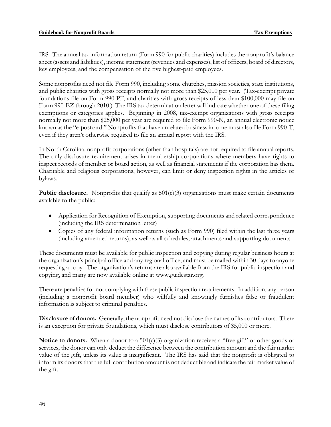IRS. The annual tax information return (Form 990 for public charities) includes the nonprofit's balance sheet (assets and liabilities), income statement (revenues and expenses), list of officers, board of directors, key employees, and the compensation of the five highest-paid employees.

Some nonprofits need not file Form 990, including some churches, mission societies, state institutions, and public charities with gross receipts normally not more than \$25,000 per year. (Tax-exempt private foundations file on Form 990-PF, and charities with gross receipts of less than \$100,000 may file on Form 990-EZ through 2010.) The IRS tax determination letter will indicate whether one of these filing exemptions or categories applies. Beginning in 2008, tax-exempt organizations with gross receipts normally not more than \$25,000 per year are required to file Form 990-N, an annual electronic notice known as the "e-postcard." Nonprofits that have unrelated business income must also file Form 990-T, even if they aren't otherwise required to file an annual report with the IRS.

In North Carolina, nonprofit corporations (other than hospitals) are not required to file annual reports. The only disclosure requirement arises in membership corporations where members have rights to inspect records of member or board action, as well as financial statements if the corporation has them. Charitable and religious corporations, however, can limit or deny inspection rights in the articles or bylaws.

**Public disclosure.** Nonprofits that qualify as  $501(c)(3)$  organizations must make certain documents available to the public:

- Application for Recognition of Exemption, supporting documents and related correspondence (including the IRS determination letter)
- Copies of any federal information returns (such as Form 990) filed within the last three years (including amended returns), as well as all schedules, attachments and supporting documents.

These documents must be available for public inspection and copying during regular business hours at the organization's principal office and any regional office, and must be mailed within 30 days to anyone requesting a copy. The organization's returns are also available from the IRS for public inspection and copying, and many are now available online at www.guidestar.org.

There are penalties for not complying with these public inspection requirements. In addition, any person (including a nonprofit board member) who willfully and knowingly furnishes false or fraudulent information is subject to criminal penalties.

**Disclosure of donors.** Generally, the nonprofit need not disclose the names of its contributors. There is an exception for private foundations, which must disclose contributors of \$5,000 or more.

**Notice to donors.** When a donor to a 501(c)(3) organization receives a "free gift" or other goods or services, the donor can only deduct the difference between the contribution amount and the fair market value of the gift, unless its value is insignificant. The IRS has said that the nonprofit is obligated to inform its donors that the full contribution amount is not deductible and indicate the fair market value of the gift.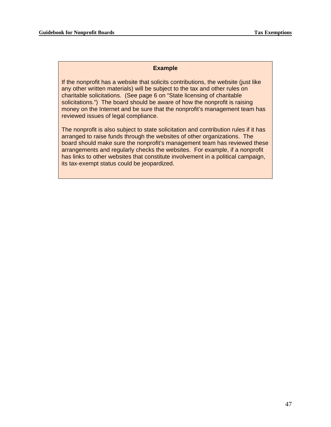#### **Example**

If the nonprofit has a website that solicits contributions, the website (just like any other written materials) will be subject to the tax and other rules on charitable solicitations. (See page 6 on "State licensing of charitable solicitations.") The board should be aware of how the nonprofit is raising money on the Internet and be sure that the nonprofit's management team has reviewed issues of legal compliance.

The nonprofit is also subject to state solicitation and contribution rules if it has arranged to raise funds through the websites of other organizations. The board should make sure the nonprofit's management team has reviewed these arrangements and regularly checks the websites. For example, if a nonprofit has links to other websites that constitute involvement in a political campaign, its tax-exempt status could be jeopardized.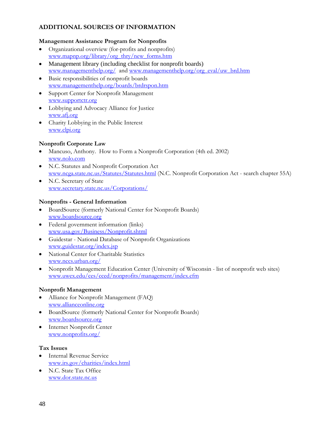## **ADDITIONAL SOURCES OF INFORMATION**

## **Management Assistance Program for Nonprofits**

- Organizational overview (for-profits and nonprofits) www.mapnp.org/library/org\_thry/new\_forms.htm
- Management library (including checklist for nonprofit boards) www.managementhelp.org/ and www.managementhelp.org/org\_eval/uw\_brd.htm
- Basic responsibilities of nonprofit boards www.managementhelp.org/boards/brdrspon.htm
- Support Center for Nonprofit Management www.supportctr.org
- Lobbying and Advocacy Alliance for Justice www.afj.org
- Charity Lobbying in the Public Interest www.clpi.org

## **Nonprofit Corporate Law**

- Mancuso, Anthony. How to Form a Nonprofit Corporation (4th ed. 2002) www.nolo.com
- N.C. Statutes and Nonprofit Corporation Act www.ncga.state.nc.us/Statutes/Statutes.html (N.C. Nonprofit Corporation Act - search chapter 55A)
- N.C. Secretary of State www.secretary.state.nc.us/Corporations/

## **Nonprofits - General Information**

- BoardSource (formerly National Center for Nonprofit Boards) www.boardsource.org
- Federal government information (links) www.usa.gov/Business/Nonprofit.shtml
- Guidestar National Database of Nonprofit Organizations www.guidestar.org/index.jsp
- National Center for Charitable Statistics www.nccs.urban.org/
- Nonprofit Management Education Center (University of Wisconsin list of nonprofit web sites) www.uwex.edu/ces/cced/nonprofits/management/index.cfm

#### **Nonprofit Management**

- Alliance for Nonprofit Management (FAQ) www.allianceonline.org
- BoardSource (formerly National Center for Nonprofit Boards) www.boardsource.org
- **Internet Nonprofit Center** www.nonprofits.org/

#### **Tax Issues**

- Internal Revenue Service www.irs.gov/charities/index.html
- N.C. State Tax Office www.dor.state.nc.us